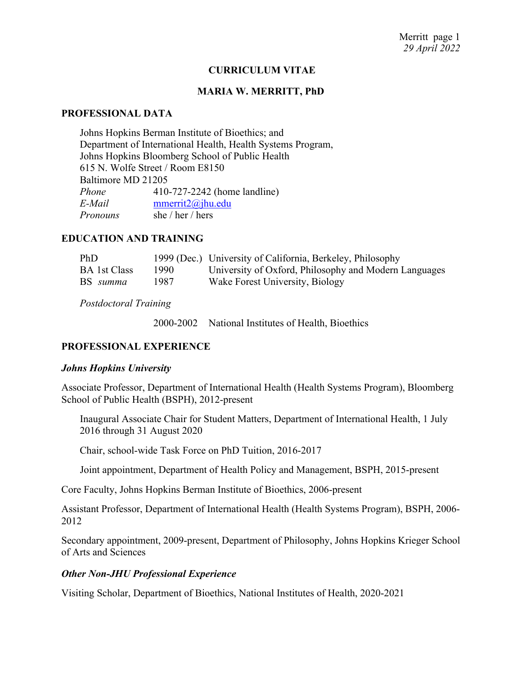#### **CURRICULUM VITAE**

#### **MARIA W. MERRITT, PhD**

#### **PROFESSIONAL DATA**

Johns Hopkins Berman Institute of Bioethics; and Department of International Health, Health Systems Program, Johns Hopkins Bloomberg School of Public Health 615 N. Wolfe Street / Room E8150 Baltimore MD 21205 *Phone* 410-727-2242 (home landline) *E-Mail* mmerrit2@jhu.edu *Pronouns* she / her / hers

# **EDUCATION AND TRAINING**

| PhD                 |       | 1999 (Dec.) University of California, Berkeley, Philosophy |
|---------------------|-------|------------------------------------------------------------|
| <b>BA</b> 1st Class | 1990- | University of Oxford, Philosophy and Modern Languages      |
| BS summa            | 1987  | Wake Forest University, Biology                            |

*Postdoctoral Training*

2000-2002 National Institutes of Health, Bioethics

#### **PROFESSIONAL EXPERIENCE**

#### *Johns Hopkins University*

Associate Professor, Department of International Health (Health Systems Program), Bloomberg School of Public Health (BSPH), 2012-present

Inaugural Associate Chair for Student Matters, Department of International Health, 1 July 2016 through 31 August 2020

Chair, school-wide Task Force on PhD Tuition, 2016-2017

Joint appointment, Department of Health Policy and Management, BSPH, 2015-present

Core Faculty, Johns Hopkins Berman Institute of Bioethics, 2006-present

Assistant Professor, Department of International Health (Health Systems Program), BSPH, 2006- 2012

Secondary appointment, 2009-present, Department of Philosophy, Johns Hopkins Krieger School of Arts and Sciences

#### *Other Non-JHU Professional Experience*

Visiting Scholar, Department of Bioethics, National Institutes of Health, 2020-2021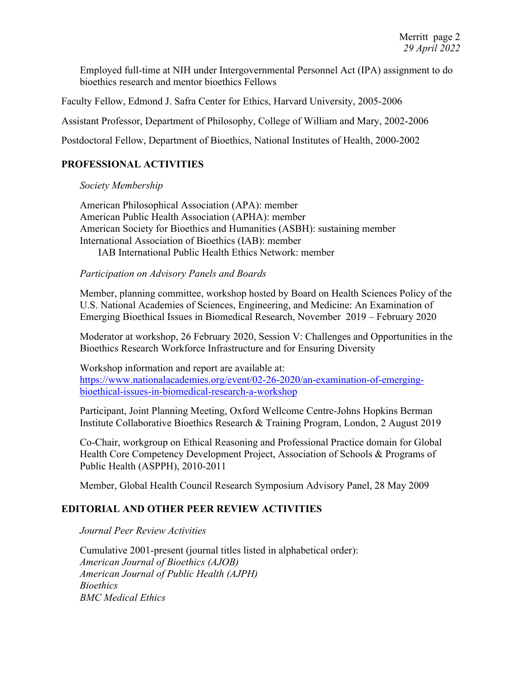Employed full-time at NIH under Intergovernmental Personnel Act (IPA) assignment to do bioethics research and mentor bioethics Fellows

Faculty Fellow, Edmond J. Safra Center for Ethics, Harvard University, 2005-2006

Assistant Professor, Department of Philosophy, College of William and Mary, 2002-2006

Postdoctoral Fellow, Department of Bioethics, National Institutes of Health, 2000-2002

# **PROFESSIONAL ACTIVITIES**

*Society Membership*

American Philosophical Association (APA): member American Public Health Association (APHA): member American Society for Bioethics and Humanities (ASBH): sustaining member International Association of Bioethics (IAB): member IAB International Public Health Ethics Network: member

# *Participation on Advisory Panels and Boards*

Member, planning committee, workshop hosted by Board on Health Sciences Policy of the U.S. National Academies of Sciences, Engineering, and Medicine: An Examination of Emerging Bioethical Issues in Biomedical Research, November 2019 – February 2020

Moderator at workshop, 26 February 2020, Session V: Challenges and Opportunities in the Bioethics Research Workforce Infrastructure and for Ensuring Diversity

Workshop information and report are available at: https://www.nationalacademies.org/event/02-26-2020/an-examination-of-emergingbioethical-issues-in-biomedical-research-a-workshop

Participant, Joint Planning Meeting, Oxford Wellcome Centre-Johns Hopkins Berman Institute Collaborative Bioethics Research & Training Program, London, 2 August 2019

Co-Chair, workgroup on Ethical Reasoning and Professional Practice domain for Global Health Core Competency Development Project, Association of Schools & Programs of Public Health (ASPPH), 2010-2011

Member, Global Health Council Research Symposium Advisory Panel, 28 May 2009

# **EDITORIAL AND OTHER PEER REVIEW ACTIVITIES**

*Journal Peer Review Activities*

Cumulative 2001-present (journal titles listed in alphabetical order): *American Journal of Bioethics (AJOB) American Journal of Public Health (AJPH) Bioethics BMC Medical Ethics*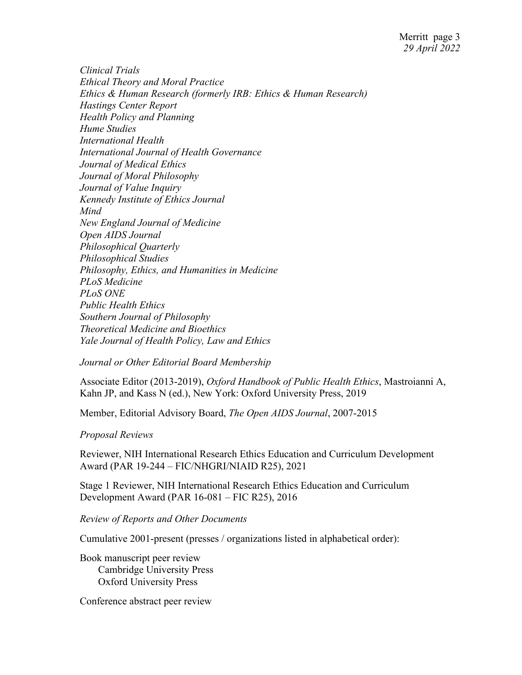*Clinical Trials Ethical Theory and Moral Practice Ethics & Human Research (formerly IRB: Ethics & Human Research) Hastings Center Report Health Policy and Planning Hume Studies International Health International Journal of Health Governance Journal of Medical Ethics Journal of Moral Philosophy Journal of Value Inquiry Kennedy Institute of Ethics Journal Mind New England Journal of Medicine Open AIDS Journal Philosophical Quarterly Philosophical Studies Philosophy, Ethics, and Humanities in Medicine PLoS Medicine PLoS ONE Public Health Ethics Southern Journal of Philosophy Theoretical Medicine and Bioethics Yale Journal of Health Policy, Law and Ethics*

*Journal or Other Editorial Board Membership*

Associate Editor (2013-2019), *Oxford Handbook of Public Health Ethics*, Mastroianni A, Kahn JP, and Kass N (ed.), New York: Oxford University Press, 2019

Member, Editorial Advisory Board, *The Open AIDS Journal*, 2007-2015

*Proposal Reviews*

Reviewer, NIH International Research Ethics Education and Curriculum Development Award (PAR 19-244 – FIC/NHGRI/NIAID R25), 2021

Stage 1 Reviewer, NIH International Research Ethics Education and Curriculum Development Award (PAR 16-081 – FIC R25), 2016

*Review of Reports and Other Documents*

Cumulative 2001-present (presses / organizations listed in alphabetical order):

Book manuscript peer review Cambridge University Press Oxford University Press

Conference abstract peer review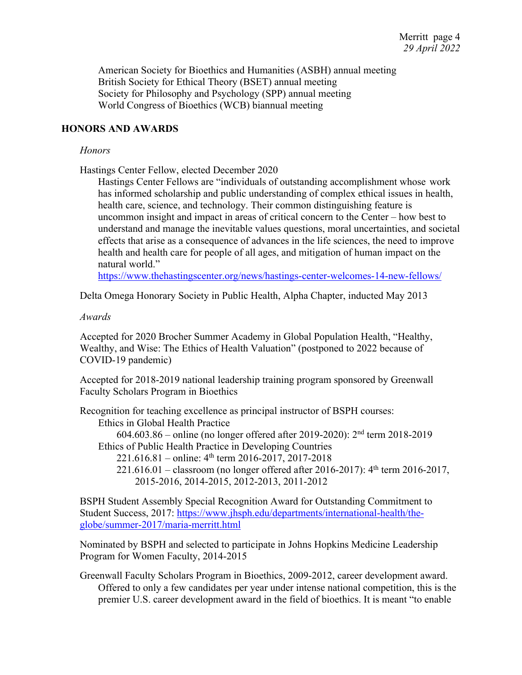American Society for Bioethics and Humanities (ASBH) annual meeting British Society for Ethical Theory (BSET) annual meeting Society for Philosophy and Psychology (SPP) annual meeting World Congress of Bioethics (WCB) biannual meeting

#### **HONORS AND AWARDS**

#### *Honors*

Hastings Center Fellow, elected December 2020

Hastings Center Fellows are "individuals of outstanding accomplishment whose work has informed scholarship and public understanding of complex ethical issues in health, health care, science, and technology. Their common distinguishing feature is uncommon insight and impact in areas of critical concern to the Center – how best to understand and manage the inevitable values questions, moral uncertainties, and societal effects that arise as a consequence of advances in the life sciences, the need to improve health and health care for people of all ages, and mitigation of human impact on the natural world."

https://www.thehastingscenter.org/news/hastings-center-welcomes-14-new-fellows/

Delta Omega Honorary Society in Public Health, Alpha Chapter, inducted May 2013

#### *Awards*

Accepted for 2020 Brocher Summer Academy in Global Population Health, "Healthy, Wealthy, and Wise: The Ethics of Health Valuation" (postponed to 2022 because of COVID-19 pandemic)

Accepted for 2018-2019 national leadership training program sponsored by Greenwall Faculty Scholars Program in Bioethics

Recognition for teaching excellence as principal instructor of BSPH courses: Ethics in Global Health Practice 604.603.86 – online (no longer offered after 2019-2020): 2nd term 2018-2019 Ethics of Public Health Practice in Developing Countries  $221.616.81$  – online:  $4<sup>th</sup>$  term 2016-2017, 2017-2018 221.616.01 – classroom (no longer offered after 2016-2017):  $4<sup>th</sup>$  term 2016-2017, 2015-2016, 2014-2015, 2012-2013, 2011-2012

BSPH Student Assembly Special Recognition Award for Outstanding Commitment to Student Success, 2017: https://www.jhsph.edu/departments/international-health/theglobe/summer-2017/maria-merritt.html

Nominated by BSPH and selected to participate in Johns Hopkins Medicine Leadership Program for Women Faculty, 2014-2015

Greenwall Faculty Scholars Program in Bioethics, 2009-2012, career development award. Offered to only a few candidates per year under intense national competition, this is the premier U.S. career development award in the field of bioethics. It is meant "to enable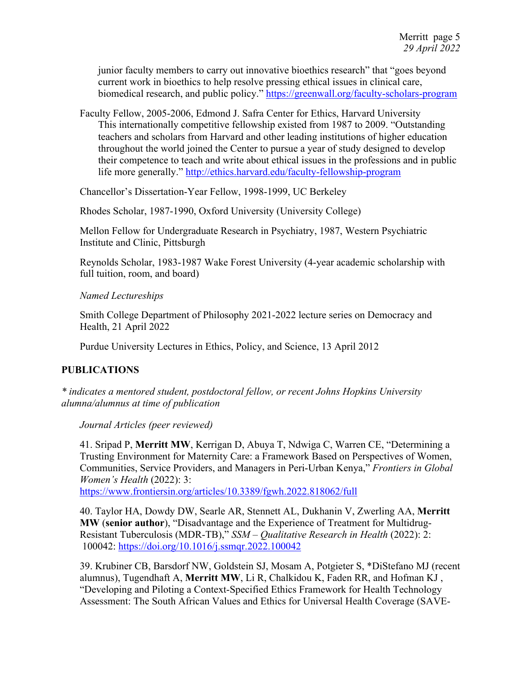junior faculty members to carry out innovative bioethics research" that "goes beyond current work in bioethics to help resolve pressing ethical issues in clinical care, biomedical research, and public policy." https://greenwall.org/faculty-scholars-program

Faculty Fellow, 2005-2006, Edmond J. Safra Center for Ethics, Harvard University This internationally competitive fellowship existed from 1987 to 2009. "Outstanding teachers and scholars from Harvard and other leading institutions of higher education throughout the world joined the Center to pursue a year of study designed to develop their competence to teach and write about ethical issues in the professions and in public life more generally." http://ethics.harvard.edu/faculty-fellowship-program

Chancellor's Dissertation-Year Fellow, 1998-1999, UC Berkeley

Rhodes Scholar, 1987-1990, Oxford University (University College)

Mellon Fellow for Undergraduate Research in Psychiatry, 1987, Western Psychiatric Institute and Clinic, Pittsburgh

Reynolds Scholar, 1983-1987 Wake Forest University (4-year academic scholarship with full tuition, room, and board)

*Named Lectureships*

Smith College Department of Philosophy 2021-2022 lecture series on Democracy and Health, 21 April 2022

Purdue University Lectures in Ethics, Policy, and Science, 13 April 2012

# **PUBLICATIONS**

*\* indicates a mentored student, postdoctoral fellow, or recent Johns Hopkins University alumna/alumnus at time of publication*

*Journal Articles (peer reviewed)*

41. Sripad P, **Merritt MW**, Kerrigan D, Abuya T, Ndwiga C, Warren CE, "Determining a Trusting Environment for Maternity Care: a Framework Based on Perspectives of Women, Communities, Service Providers, and Managers in Peri-Urban Kenya," *Frontiers in Global Women's Health* (2022): 3:

https://www.frontiersin.org/articles/10.3389/fgwh.2022.818062/full

40. Taylor HA, Dowdy DW, Searle AR, Stennett AL, Dukhanin V, Zwerling AA, **Merritt MW** (**senior author**), "Disadvantage and the Experience of Treatment for Multidrug-Resistant Tuberculosis (MDR-TB)," *SSM – Qualitative Research in Health* (2022): 2: 100042: https://doi.org/10.1016/j.ssmqr.2022.100042

39. Krubiner CB, Barsdorf NW, Goldstein SJ, Mosam A, Potgieter S, \*DiStefano MJ (recent alumnus), Tugendhaft A, **Merritt MW**, Li R, Chalkidou K, Faden RR, and Hofman KJ , "Developing and Piloting a Context-Specified Ethics Framework for Health Technology Assessment: The South African Values and Ethics for Universal Health Coverage (SAVE-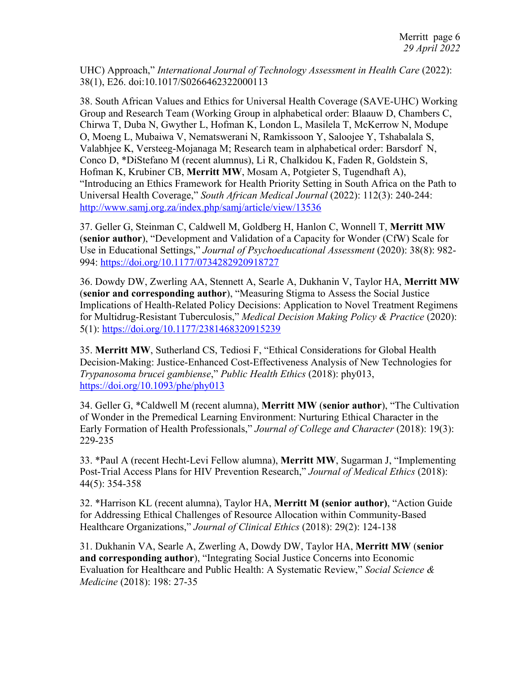UHC) Approach," *International Journal of Technology Assessment in Health Care* (2022): 38(1), E26. doi:10.1017/S0266462322000113

38. South African Values and Ethics for Universal Health Coverage (SAVE-UHC) Working Group and Research Team (Working Group in alphabetical order: Blaauw D, Chambers C, Chirwa T, Duba N, Gwyther L, Hofman K, London L, Masilela T, McKerrow N, Modupe O, Moeng L, Mubaiwa V, Nematswerani N, Ramkissoon Y, Saloojee Y, Tshabalala S, Valabhjee K, Versteeg-Mojanaga M; Research team in alphabetical order: Barsdorf N, Conco D, \*DiStefano M (recent alumnus), Li R, Chalkidou K, Faden R, Goldstein S, Hofman K, Krubiner CB, **Merritt MW**, Mosam A, Potgieter S, Tugendhaft A), "Introducing an Ethics Framework for Health Priority Setting in South Africa on the Path to Universal Health Coverage," *South African Medical Journal* (2022): 112(3): 240-244: http://www.samj.org.za/index.php/samj/article/view/13536

37. Geller G, Steinman C, Caldwell M, Goldberg H, Hanlon C, Wonnell T, **Merritt MW** (**senior author**), "Development and Validation of a Capacity for Wonder (CfW) Scale for Use in Educational Settings," *Journal of Psychoeducational Assessment* (2020): 38(8): 982- 994: https://doi.org/10.1177/0734282920918727

36. Dowdy DW, Zwerling AA, Stennett A, Searle A, Dukhanin V, Taylor HA, **Merritt MW** (**senior and corresponding author**), "Measuring Stigma to Assess the Social Justice Implications of Health-Related Policy Decisions: Application to Novel Treatment Regimens for Multidrug-Resistant Tuberculosis," *Medical Decision Making Policy & Practice* (2020): 5(1): https://doi.org/10.1177/2381468320915239

35. **Merritt MW**, Sutherland CS, Tediosi F, "Ethical Considerations for Global Health Decision-Making: Justice-Enhanced Cost-Effectiveness Analysis of New Technologies for *Trypanosoma brucei gambiense*," *Public Health Ethics* (2018): phy013, https://doi.org/10.1093/phe/phy013

34. Geller G, \*Caldwell M (recent alumna), **Merritt MW** (**senior author**), "The Cultivation of Wonder in the Premedical Learning Environment: Nurturing Ethical Character in the Early Formation of Health Professionals," *Journal of College and Character* (2018): 19(3): 229-235

33. \*Paul A (recent Hecht-Levi Fellow alumna), **Merritt MW**, Sugarman J, "Implementing Post-Trial Access Plans for HIV Prevention Research," *Journal of Medical Ethics* (2018): 44(5): 354-358

32. \*Harrison KL (recent alumna), Taylor HA, **Merritt M (senior author)**, "Action Guide for Addressing Ethical Challenges of Resource Allocation within Community-Based Healthcare Organizations," *Journal of Clinical Ethics* (2018): 29(2): 124-138

31. Dukhanin VA, Searle A, Zwerling A, Dowdy DW, Taylor HA, **Merritt MW** (**senior and corresponding author**), "Integrating Social Justice Concerns into Economic Evaluation for Healthcare and Public Health: A Systematic Review," *Social Science & Medicine* (2018): 198: 27-35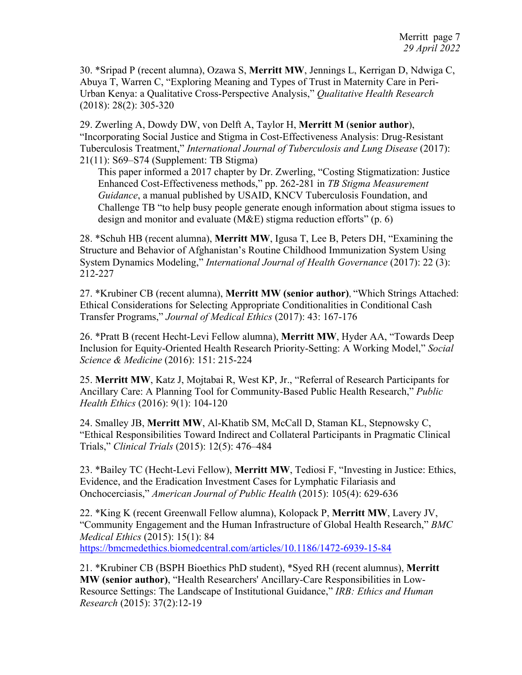30. \*Sripad P (recent alumna), Ozawa S, **Merritt MW**, Jennings L, Kerrigan D, Ndwiga C, Abuya T, Warren C, "Exploring Meaning and Types of Trust in Maternity Care in Peri-Urban Kenya: a Qualitative Cross-Perspective Analysis," *Qualitative Health Research*  (2018): 28(2): 305-320

29. Zwerling A, Dowdy DW, von Delft A, Taylor H, **Merritt M** (**senior author**), "Incorporating Social Justice and Stigma in Cost-Effectiveness Analysis: Drug-Resistant Tuberculosis Treatment," *International Journal of Tuberculosis and Lung Disease* (2017): 21(11): S69–S74 (Supplement: TB Stigma)

This paper informed a 2017 chapter by Dr. Zwerling, "Costing Stigmatization: Justice Enhanced Cost-Effectiveness methods," pp. 262-281 in *TB Stigma Measurement Guidance*, a manual published by USAID, KNCV Tuberculosis Foundation, and Challenge TB "to help busy people generate enough information about stigma issues to design and monitor and evaluate (M&E) stigma reduction efforts" (p. 6)

28. \*Schuh HB (recent alumna), **Merritt MW**, Igusa T, Lee B, Peters DH, "Examining the Structure and Behavior of Afghanistan's Routine Childhood Immunization System Using System Dynamics Modeling," *International Journal of Health Governance* (2017): 22 (3): 212-227

27. \*Krubiner CB (recent alumna), **Merritt MW (senior author)**, "Which Strings Attached: Ethical Considerations for Selecting Appropriate Conditionalities in Conditional Cash Transfer Programs," *Journal of Medical Ethics* (2017): 43: 167-176

26. \*Pratt B (recent Hecht-Levi Fellow alumna), **Merritt MW**, Hyder AA, "Towards Deep Inclusion for Equity-Oriented Health Research Priority-Setting: A Working Model," *Social Science & Medicine* (2016): 151: 215-224

25. **Merritt MW**, Katz J, Mojtabai R, West KP, Jr., "Referral of Research Participants for Ancillary Care: A Planning Tool for Community-Based Public Health Research," *Public Health Ethics* (2016): 9(1): 104-120

24. Smalley JB, **Merritt MW**, Al-Khatib SM, McCall D, Staman KL, Stepnowsky C, "Ethical Responsibilities Toward Indirect and Collateral Participants in Pragmatic Clinical Trials," *Clinical Trials* (2015): 12(5): 476–484

23. \*Bailey TC (Hecht-Levi Fellow), **Merritt MW**, Tediosi F, "Investing in Justice: Ethics, Evidence, and the Eradication Investment Cases for Lymphatic Filariasis and Onchocerciasis," *American Journal of Public Health* (2015): 105(4): 629-636

22. \*King K (recent Greenwall Fellow alumna), Kolopack P, **Merritt MW**, Lavery JV, "Community Engagement and the Human Infrastructure of Global Health Research," *BMC Medical Ethics* (2015): 15(1): 84 https://bmcmedethics.biomedcentral.com/articles/10.1186/1472-6939-15-84

21. \*Krubiner CB (BSPH Bioethics PhD student), \*Syed RH (recent alumnus), **Merritt MW (senior author)**, "Health Researchers' Ancillary-Care Responsibilities in Low-Resource Settings: The Landscape of Institutional Guidance," *IRB: Ethics and Human Research* (2015): 37(2):12-19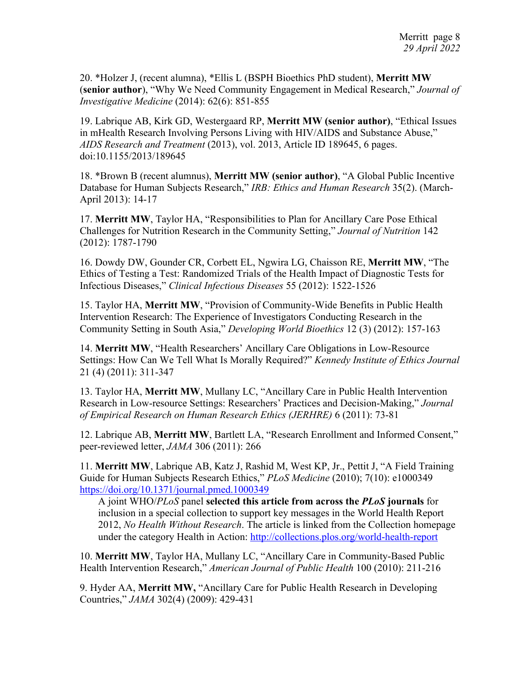20. \*Holzer J, (recent alumna), \*Ellis L (BSPH Bioethics PhD student), **Merritt MW** (**senior author**), "Why We Need Community Engagement in Medical Research," *Journal of Investigative Medicine* (2014): 62(6): 851-855

19. Labrique AB, Kirk GD, Westergaard RP, **Merritt MW (senior author)**, "Ethical Issues in mHealth Research Involving Persons Living with HIV/AIDS and Substance Abuse," *AIDS Research and Treatment* (2013), vol. 2013, Article ID 189645, 6 pages. doi:10.1155/2013/189645

18. \*Brown B (recent alumnus), **Merritt MW (senior author)**, "A Global Public Incentive Database for Human Subjects Research," *IRB: Ethics and Human Research* 35(2). (March-April 2013): 14-17

17. **Merritt MW**, Taylor HA, "Responsibilities to Plan for Ancillary Care Pose Ethical Challenges for Nutrition Research in the Community Setting," *Journal of Nutrition* 142 (2012): 1787-1790

16. Dowdy DW, Gounder CR, Corbett EL, Ngwira LG, Chaisson RE, **Merritt MW**, "The Ethics of Testing a Test: Randomized Trials of the Health Impact of Diagnostic Tests for Infectious Diseases," *Clinical Infectious Diseases* 55 (2012): 1522-1526

15. Taylor HA, **Merritt MW**, "Provision of Community-Wide Benefits in Public Health Intervention Research: The Experience of Investigators Conducting Research in the Community Setting in South Asia," *Developing World Bioethics* 12 (3) (2012): 157-163

14. **Merritt MW**, "Health Researchers' Ancillary Care Obligations in Low-Resource Settings: How Can We Tell What Is Morally Required?" *Kennedy Institute of Ethics Journal* 21 (4) (2011): 311-347

13. Taylor HA, **Merritt MW**, Mullany LC, "Ancillary Care in Public Health Intervention Research in Low-resource Settings: Researchers' Practices and Decision-Making," *Journal of Empirical Research on Human Research Ethics (JERHRE)* 6 (2011): 73-81

12. Labrique AB, **Merritt MW**, Bartlett LA, "Research Enrollment and Informed Consent," peer-reviewed letter, *JAMA* 306 (2011): 266

11. **Merritt MW**, Labrique AB, Katz J, Rashid M, West KP, Jr., Pettit J, "A Field Training Guide for Human Subjects Research Ethics," *PLoS Medicine* (2010); 7(10): e1000349 https://doi.org/10.1371/journal.pmed.1000349

A joint WHO/*PLoS* panel **selected this article from across the** *PLoS* **journals** for inclusion in a special collection to support key messages in the World Health Report 2012, *No Health Without Research*. The article is linked from the Collection homepage under the category Health in Action: http://collections.plos.org/world-health-report

10. **Merritt MW**, Taylor HA, Mullany LC, "Ancillary Care in Community-Based Public Health Intervention Research," *American Journal of Public Health* 100 (2010): 211-216

9. Hyder AA, **Merritt MW,** "Ancillary Care for Public Health Research in Developing Countries," *JAMA* 302(4) (2009): 429-431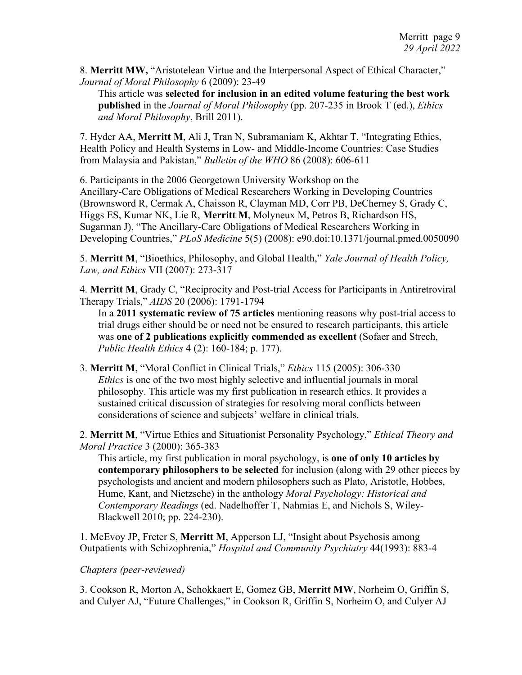8. **Merritt MW,** "Aristotelean Virtue and the Interpersonal Aspect of Ethical Character," *Journal of Moral Philosophy* 6 (2009): 23-49

This article was **selected for inclusion in an edited volume featuring the best work published** in the *Journal of Moral Philosophy* (pp. 207-235 in Brook T (ed.), *Ethics and Moral Philosophy*, Brill 2011).

7. Hyder AA, **Merritt M**, Ali J, Tran N, Subramaniam K, Akhtar T, "Integrating Ethics, Health Policy and Health Systems in Low- and Middle-Income Countries: Case Studies from Malaysia and Pakistan," *Bulletin of the WHO* 86 (2008): 606-611

6. Participants in the 2006 Georgetown University Workshop on the Ancillary-Care Obligations of Medical Researchers Working in Developing Countries (Brownsword R, Cermak A, Chaisson R, Clayman MD, Corr PB, DeCherney S, Grady C, Higgs ES, Kumar NK, Lie R, **Merritt M**, Molyneux M, Petros B, Richardson HS, Sugarman J), "The Ancillary-Care Obligations of Medical Researchers Working in Developing Countries," *PLoS Medicine* 5(5) (2008): e90.doi:10.1371/journal.pmed.0050090

5. **Merritt M**, "Bioethics, Philosophy, and Global Health," *Yale Journal of Health Policy, Law, and Ethics* VII (2007): 273-317

4. **Merritt M**, Grady C, "Reciprocity and Post-trial Access for Participants in Antiretroviral Therapy Trials," *AIDS* 20 (2006): 1791-1794

In a **2011 systematic review of 75 articles** mentioning reasons why post-trial access to trial drugs either should be or need not be ensured to research participants, this article was **one of 2 publications explicitly commended as excellent** (Sofaer and Strech, *Public Health Ethics* 4 (2): 160-184; p. 177).

3. **Merritt M**, "Moral Conflict in Clinical Trials," *Ethics* 115 (2005): 306-330 *Ethics* is one of the two most highly selective and influential journals in moral philosophy. This article was my first publication in research ethics. It provides a sustained critical discussion of strategies for resolving moral conflicts between considerations of science and subjects' welfare in clinical trials.

2. **Merritt M**, "Virtue Ethics and Situationist Personality Psychology," *Ethical Theory and Moral Practice* 3 (2000): 365-383

This article, my first publication in moral psychology, is **one of only 10 articles by contemporary philosophers to be selected** for inclusion (along with 29 other pieces by psychologists and ancient and modern philosophers such as Plato, Aristotle, Hobbes, Hume, Kant, and Nietzsche) in the anthology *Moral Psychology: Historical and Contemporary Readings* (ed. Nadelhoffer T, Nahmias E, and Nichols S, Wiley-Blackwell 2010; pp. 224-230).

1. McEvoy JP, Freter S, **Merritt M**, Apperson LJ, "Insight about Psychosis among Outpatients with Schizophrenia," *Hospital and Community Psychiatry* 44(1993): 883-4

## *Chapters (peer-reviewed)*

3. Cookson R, Morton A, Schokkaert E, Gomez GB, **Merritt MW**, Norheim O, Griffin S, and Culyer AJ, "Future Challenges," in Cookson R, Griffin S, Norheim O, and Culyer AJ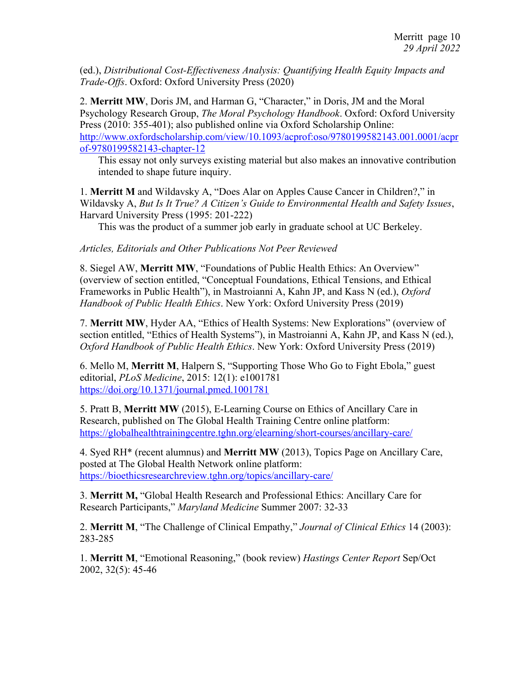(ed.), *Distributional Cost-Effectiveness Analysis: Quantifying Health Equity Impacts and Trade-Offs*. Oxford: Oxford University Press (2020)

2. **Merritt MW**, Doris JM, and Harman G, "Character," in Doris, JM and the Moral Psychology Research Group, *The Moral Psychology Handbook*. Oxford: Oxford University Press (2010: 355-401); also published online via Oxford Scholarship Online: http://www.oxfordscholarship.com/view/10.1093/acprof:oso/9780199582143.001.0001/acpr of-9780199582143-chapter-12

This essay not only surveys existing material but also makes an innovative contribution intended to shape future inquiry.

1. **Merritt M** and Wildavsky A, "Does Alar on Apples Cause Cancer in Children?," in Wildavsky A, *But Is It True? A Citizen's Guide to Environmental Health and Safety Issues*, Harvard University Press (1995: 201-222)

This was the product of a summer job early in graduate school at UC Berkeley.

#### *Articles, Editorials and Other Publications Not Peer Reviewed*

8. Siegel AW, **Merritt MW**, "Foundations of Public Health Ethics: An Overview" (overview of section entitled, "Conceptual Foundations, Ethical Tensions, and Ethical Frameworks in Public Health"), in Mastroianni A, Kahn JP, and Kass N (ed.), *Oxford Handbook of Public Health Ethics*. New York: Oxford University Press (2019)

7. **Merritt MW**, Hyder AA, "Ethics of Health Systems: New Explorations" (overview of section entitled, "Ethics of Health Systems"), in Mastroianni A, Kahn JP, and Kass N (ed.), *Oxford Handbook of Public Health Ethics*. New York: Oxford University Press (2019)

6. Mello M, **Merritt M**, Halpern S, "Supporting Those Who Go to Fight Ebola," guest editorial, *PLoS Medicine*, 2015: 12(1): e1001781 https://doi.org/10.1371/journal.pmed.1001781

5. Pratt B, **Merritt MW** (2015), E-Learning Course on Ethics of Ancillary Care in Research, published on The Global Health Training Centre online platform: https://globalhealthtrainingcentre.tghn.org/elearning/short-courses/ancillary-care/

4. Syed RH\* (recent alumnus) and **Merritt MW** (2013), Topics Page on Ancillary Care, posted at The Global Health Network online platform: https://bioethicsresearchreview.tghn.org/topics/ancillary-care/

3. **Merritt M,** "Global Health Research and Professional Ethics: Ancillary Care for Research Participants," *Maryland Medicine* Summer 2007: 32-33

2. **Merritt M**, "The Challenge of Clinical Empathy," *Journal of Clinical Ethics* 14 (2003): 283-285

1. **Merritt M**, "Emotional Reasoning," (book review) *Hastings Center Report* Sep/Oct 2002, 32(5): 45-46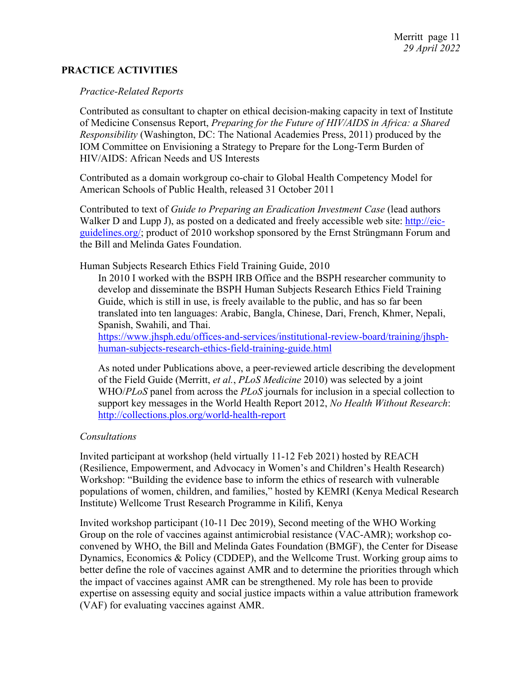# **PRACTICE ACTIVITIES**

#### *Practice-Related Reports*

Contributed as consultant to chapter on ethical decision-making capacity in text of Institute of Medicine Consensus Report, *Preparing for the Future of HIV/AIDS in Africa: a Shared Responsibility* (Washington, DC: The National Academies Press, 2011) produced by the IOM Committee on Envisioning a Strategy to Prepare for the Long-Term Burden of HIV/AIDS: African Needs and US Interests

Contributed as a domain workgroup co-chair to Global Health Competency Model for American Schools of Public Health, released 31 October 2011

Contributed to text of *Guide to Preparing an Eradication Investment Case* (lead authors Walker D and Lupp J), as posted on a dedicated and freely accessible web site: http://eicguidelines.org/; product of 2010 workshop sponsored by the Ernst Strüngmann Forum and the Bill and Melinda Gates Foundation.

Human Subjects Research Ethics Field Training Guide, 2010

In 2010 I worked with the BSPH IRB Office and the BSPH researcher community to develop and disseminate the BSPH Human Subjects Research Ethics Field Training Guide, which is still in use, is freely available to the public, and has so far been translated into ten languages: Arabic, Bangla, Chinese, Dari, French, Khmer, Nepali, Spanish, Swahili, and Thai.

https://www.jhsph.edu/offices-and-services/institutional-review-board/training/jhsphhuman-subjects-research-ethics-field-training-guide.html

As noted under Publications above, a peer-reviewed article describing the development of the Field Guide (Merritt, *et al.*, *PLoS Medicine* 2010) was selected by a joint WHO/*PLoS* panel from across the *PLoS* journals for inclusion in a special collection to support key messages in the World Health Report 2012, *No Health Without Research*: http://collections.plos.org/world-health-report

## *Consultations*

Invited participant at workshop (held virtually 11-12 Feb 2021) hosted by REACH (Resilience, Empowerment, and Advocacy in Women's and Children's Health Research) Workshop: "Building the evidence base to inform the ethics of research with vulnerable populations of women, children, and families," hosted by KEMRI (Kenya Medical Research Institute) Wellcome Trust Research Programme in Kilifi, Kenya

Invited workshop participant (10-11 Dec 2019), Second meeting of the WHO Working Group on the role of vaccines against antimicrobial resistance (VAC-AMR); workshop coconvened by WHO, the Bill and Melinda Gates Foundation (BMGF), the Center for Disease Dynamics, Economics & Policy (CDDEP), and the Wellcome Trust. Working group aims to better define the role of vaccines against AMR and to determine the priorities through which the impact of vaccines against AMR can be strengthened. My role has been to provide expertise on assessing equity and social justice impacts within a value attribution framework (VAF) for evaluating vaccines against AMR.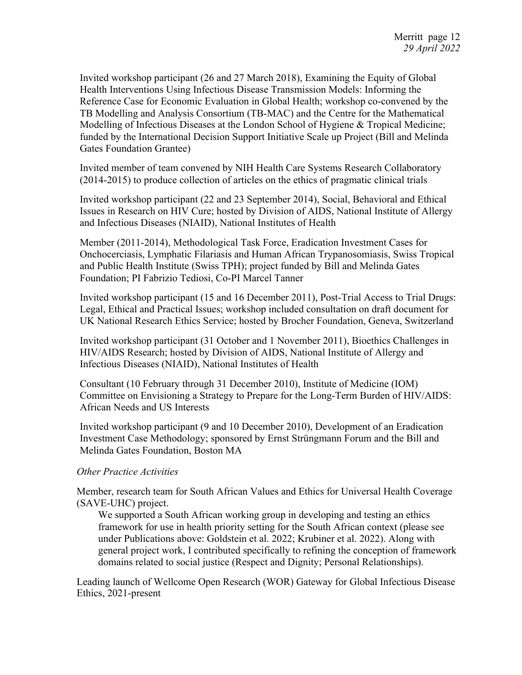Invited workshop participant (26 and 27 March 2018), Examining the Equity of Global Health Interventions Using Infectious Disease Transmission Models: Informing the Reference Case for Economic Evaluation in Global Health; workshop co-convened by the TB Modelling and Analysis Consortium (TB-MAC) and the Centre for the Mathematical Modelling of Infectious Diseases at the London School of Hygiene & Tropical Medicine; funded by the International Decision Support Initiative Scale up Project (Bill and Melinda Gates Foundation Grantee)

Invited member of team convened by NIH Health Care Systems Research Collaboratory (2014-2015) to produce collection of articles on the ethics of pragmatic clinical trials

Invited workshop participant (22 and 23 September 2014), Social, Behavioral and Ethical Issues in Research on HIV Cure; hosted by Division of AIDS, National Institute of Allergy and Infectious Diseases (NIAID), National Institutes of Health

Member (2011-2014), Methodological Task Force, Eradication Investment Cases for Onchocerciasis, Lymphatic Filariasis and Human African Trypanosomiasis, Swiss Tropical and Public Health Institute (Swiss TPH); project funded by Bill and Melinda Gates Foundation; PI Fabrizio Tediosi, Co-PI Marcel Tanner

Invited workshop participant (15 and 16 December 2011), Post-Trial Access to Trial Drugs: Legal, Ethical and Practical Issues; workshop included consultation on draft document for UK National Research Ethics Service; hosted by Brocher Foundation, Geneva, Switzerland

Invited workshop participant (31 October and 1 November 2011), Bioethics Challenges in HIV/AIDS Research; hosted by Division of AIDS, National Institute of Allergy and Infectious Diseases (NIAID), National Institutes of Health

Consultant (10 February through 31 December 2010), Institute of Medicine (IOM) Committee on Envisioning a Strategy to Prepare for the Long-Term Burden of HIV/AIDS: African Needs and US Interests

Invited workshop participant (9 and 10 December 2010), Development of an Eradication Investment Case Methodology; sponsored by Ernst Strüngmann Forum and the Bill and Melinda Gates Foundation, Boston MA

# *Other Practice Activities*

Member, research team for South African Values and Ethics for Universal Health Coverage (SAVE-UHC) project.

We supported a South African working group in developing and testing an ethics framework for use in health priority setting for the South African context (please see under Publications above: Goldstein et al. 2022; Krubiner et al. 2022). Along with general project work, I contributed specifically to refining the conception of framework domains related to social justice (Respect and Dignity; Personal Relationships).

Leading launch of Wellcome Open Research (WOR) Gateway for Global Infectious Disease Ethics, 2021-present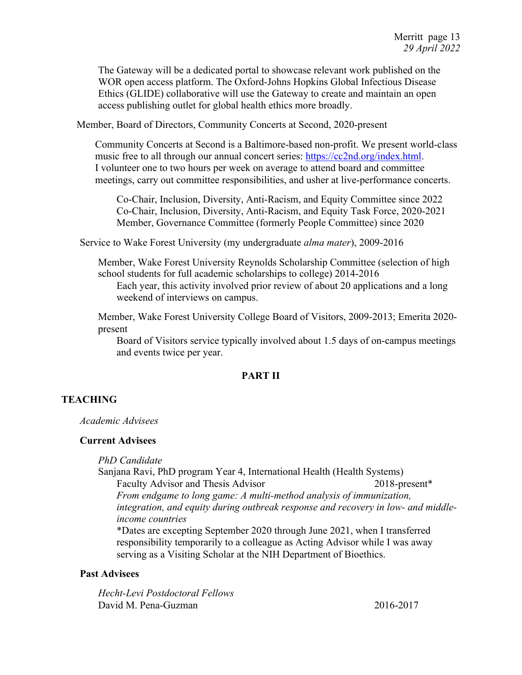The Gateway will be a dedicated portal to showcase relevant work published on the WOR open access platform. The Oxford-Johns Hopkins Global Infectious Disease Ethics (GLIDE) collaborative will use the Gateway to create and maintain an open access publishing outlet for global health ethics more broadly.

Member, Board of Directors, Community Concerts at Second, 2020-present

Community Concerts at Second is a Baltimore-based non-profit. We present world-class music free to all through our annual concert series: https://cc2nd.org/index.html. I volunteer one to two hours per week on average to attend board and committee meetings, carry out committee responsibilities, and usher at live-performance concerts.

Co-Chair, Inclusion, Diversity, Anti-Racism, and Equity Committee since 2022 Co-Chair, Inclusion, Diversity, Anti-Racism, and Equity Task Force, 2020-2021 Member, Governance Committee (formerly People Committee) since 2020

Service to Wake Forest University (my undergraduate *alma mater*), 2009-2016

Member, Wake Forest University Reynolds Scholarship Committee (selection of high school students for full academic scholarships to college) 2014-2016

Each year, this activity involved prior review of about 20 applications and a long weekend of interviews on campus.

Member, Wake Forest University College Board of Visitors, 2009-2013; Emerita 2020 present

Board of Visitors service typically involved about 1.5 days of on-campus meetings and events twice per year.

## **PART II**

# **TEACHING**

*Academic Advisees*

#### **Current Advisees**

*PhD Candidate*

Sanjana Ravi, PhD program Year 4, International Health (Health Systems) Faculty Advisor and Thesis Advisor 2018-present\* *From endgame to long game: A multi-method analysis of immunization,*

*integration, and equity during outbreak response and recovery in low- and middleincome countries*

\*Dates are excepting September 2020 through June 2021, when I transferred responsibility temporarily to a colleague as Acting Advisor while I was away serving as a Visiting Scholar at the NIH Department of Bioethics.

#### **Past Advisees**

*Hecht-Levi Postdoctoral Fellows* David M. Pena-Guzman 2016-2017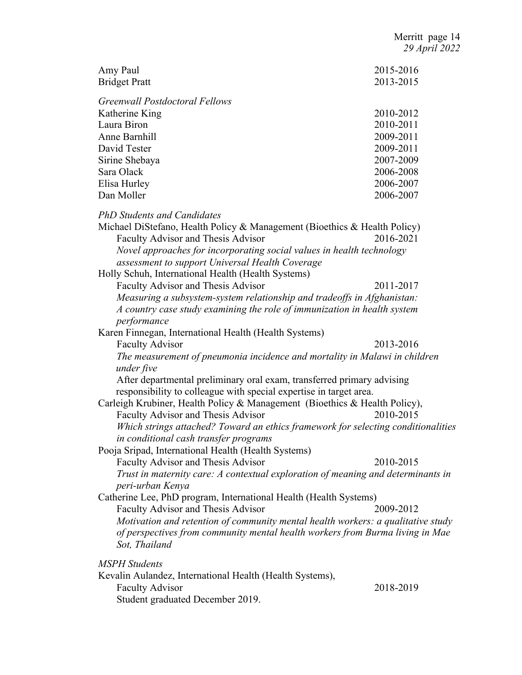| Amy Paul<br><b>Bridget Pratt</b>                                                                                                             | 2015-2016<br>2013-2015 |
|----------------------------------------------------------------------------------------------------------------------------------------------|------------------------|
| <b>Greenwall Postdoctoral Fellows</b>                                                                                                        |                        |
| Katherine King                                                                                                                               | 2010-2012              |
| Laura Biron                                                                                                                                  | 2010-2011              |
| Anne Barnhill                                                                                                                                | 2009-2011              |
| David Tester                                                                                                                                 | 2009-2011              |
| Sirine Shebaya                                                                                                                               | 2007-2009              |
| Sara Olack                                                                                                                                   | 2006-2008              |
| Elisa Hurley                                                                                                                                 | 2006-2007              |
| Dan Moller                                                                                                                                   | 2006-2007              |
| <b>PhD Students and Candidates</b>                                                                                                           |                        |
| Michael DiStefano, Health Policy & Management (Bioethics & Health Policy)                                                                    |                        |
| Faculty Advisor and Thesis Advisor                                                                                                           | 2016-2021              |
| Novel approaches for incorporating social values in health technology                                                                        |                        |
| assessment to support Universal Health Coverage                                                                                              |                        |
| Holly Schuh, International Health (Health Systems)                                                                                           |                        |
| Faculty Advisor and Thesis Advisor                                                                                                           | 2011-2017              |
| Measuring a subsystem-system relationship and tradeoffs in Afghanistan:                                                                      |                        |
| A country case study examining the role of immunization in health system                                                                     |                        |
| performance                                                                                                                                  |                        |
| Karen Finnegan, International Health (Health Systems)                                                                                        |                        |
| <b>Faculty Advisor</b>                                                                                                                       | 2013-2016              |
| The measurement of pneumonia incidence and mortality in Malawi in children                                                                   |                        |
| under five                                                                                                                                   |                        |
| After departmental preliminary oral exam, transferred primary advising<br>responsibility to colleague with special expertise in target area. |                        |
| Carleigh Krubiner, Health Policy & Management (Bioethics & Health Policy),                                                                   |                        |
| Faculty Advisor and Thesis Advisor                                                                                                           | 2010-2015              |
| Which strings attached? Toward an ethics framework for selecting conditionalities                                                            |                        |
| in conditional cash transfer programs                                                                                                        |                        |
| Pooja Sripad, International Health (Health Systems)                                                                                          |                        |
| Faculty Advisor and Thesis Advisor                                                                                                           | 2010-2015              |
| Trust in maternity care: A contextual exploration of meaning and determinants in                                                             |                        |
| peri-urban Kenya                                                                                                                             |                        |
| Catherine Lee, PhD program, International Health (Health Systems)                                                                            |                        |
| Faculty Advisor and Thesis Advisor                                                                                                           | 2009-2012              |
| Motivation and retention of community mental health workers: a qualitative study                                                             |                        |
| of perspectives from community mental health workers from Burma living in Mae                                                                |                        |
| Sot, Thailand                                                                                                                                |                        |
| MSPH Students                                                                                                                                |                        |
| Kevalin Aulandez, International Health (Health Systems),                                                                                     |                        |
| <b>Faculty Advisor</b>                                                                                                                       | 2018-2019              |
| Student graduated December 2019.                                                                                                             |                        |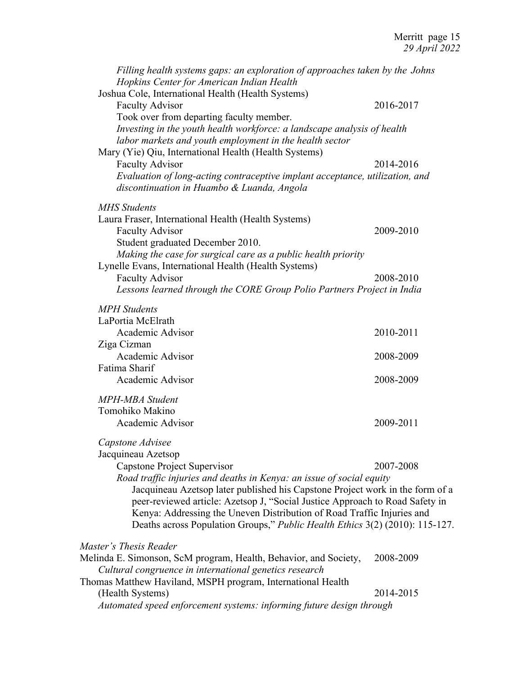| Filling health systems gaps: an exploration of approaches taken by the Johns<br>Hopkins Center for American Indian Health |           |
|---------------------------------------------------------------------------------------------------------------------------|-----------|
| Joshua Cole, International Health (Health Systems)                                                                        |           |
| <b>Faculty Advisor</b>                                                                                                    | 2016-2017 |
| Took over from departing faculty member.                                                                                  |           |
| Investing in the youth health workforce: a landscape analysis of health                                                   |           |
| labor markets and youth employment in the health sector                                                                   |           |
| Mary (Yie) Qiu, International Health (Health Systems)                                                                     |           |
| <b>Faculty Advisor</b>                                                                                                    | 2014-2016 |
| Evaluation of long-acting contraceptive implant acceptance, utilization, and                                              |           |
| discontinuation in Huambo & Luanda, Angola                                                                                |           |
| <b>MHS</b> Students                                                                                                       |           |
| Laura Fraser, International Health (Health Systems)                                                                       |           |
| <b>Faculty Advisor</b>                                                                                                    | 2009-2010 |
| Student graduated December 2010.                                                                                          |           |
| Making the case for surgical care as a public health priority                                                             |           |
| Lynelle Evans, International Health (Health Systems)                                                                      |           |
| <b>Faculty Advisor</b>                                                                                                    | 2008-2010 |
| Lessons learned through the CORE Group Polio Partners Project in India                                                    |           |
| <b>MPH</b> Students                                                                                                       |           |
| LaPortia McElrath                                                                                                         |           |
| Academic Advisor                                                                                                          | 2010-2011 |
| Ziga Cizman                                                                                                               |           |
| Academic Advisor                                                                                                          | 2008-2009 |
| Fatima Sharif                                                                                                             |           |
| Academic Advisor                                                                                                          | 2008-2009 |
| <b>MPH-MBA</b> Student                                                                                                    |           |
| Tomohiko Makino                                                                                                           |           |
| Academic Advisor                                                                                                          | 2009-2011 |
| Capstone Advisee                                                                                                          |           |
| Jacquineau Azetsop                                                                                                        |           |
| Capstone Project Supervisor                                                                                               | 2007-2008 |
| Road traffic injuries and deaths in Kenya: an issue of social equity                                                      |           |
| Jacquineau Azetsop later published his Capstone Project work in the form of a                                             |           |
| peer-reviewed article: Azetsop J, "Social Justice Approach to Road Safety in                                              |           |
| Kenya: Addressing the Uneven Distribution of Road Traffic Injuries and                                                    |           |
| Deaths across Population Groups," Public Health Ethics 3(2) (2010): 115-127.                                              |           |
| Master's Thesis Reader                                                                                                    |           |
| Melinda E. Simonson, ScM program, Health, Behavior, and Society,                                                          | 2008-2009 |
| Cultural congruence in international genetics research                                                                    |           |
| Thomas Matthew Haviland, MSPH program, International Health                                                               |           |
| (Health Systems)                                                                                                          | 2014-2015 |

*Automated speed enforcement systems: informing future design through*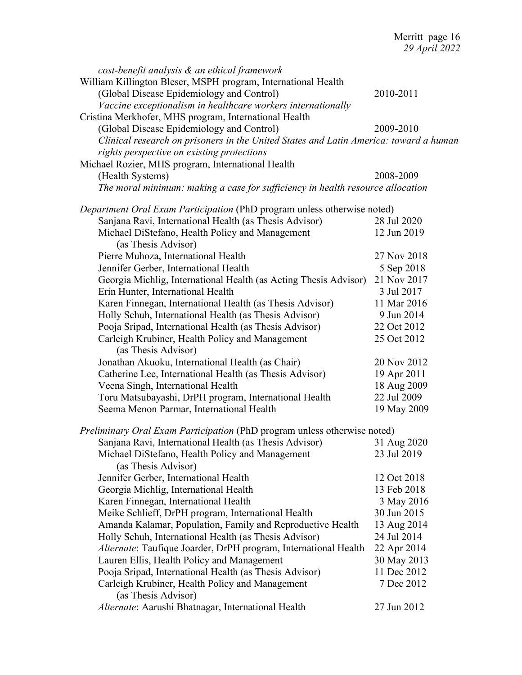| cost-benefit analysis & an ethical framework<br>William Killington Bleser, MSPH program, International Health<br>(Global Disease Epidemiology and Control) | 2010-2011   |
|------------------------------------------------------------------------------------------------------------------------------------------------------------|-------------|
| Vaccine exceptionalism in healthcare workers internationally<br>Cristina Merkhofer, MHS program, International Health                                      |             |
| (Global Disease Epidemiology and Control)                                                                                                                  | 2009-2010   |
| Clinical research on prisoners in the United States and Latin America: toward a human                                                                      |             |
| rights perspective on existing protections                                                                                                                 |             |
| Michael Rozier, MHS program, International Health                                                                                                          |             |
| (Health Systems)                                                                                                                                           | 2008-2009   |
| The moral minimum: making a case for sufficiency in health resource allocation                                                                             |             |
| Department Oral Exam Participation (PhD program unless otherwise noted)                                                                                    |             |
| Sanjana Ravi, International Health (as Thesis Advisor)                                                                                                     | 28 Jul 2020 |
| Michael DiStefano, Health Policy and Management<br>(as Thesis Advisor)                                                                                     | 12 Jun 2019 |
| Pierre Muhoza, International Health                                                                                                                        | 27 Nov 2018 |
| Jennifer Gerber, International Health                                                                                                                      | 5 Sep 2018  |
| Georgia Michlig, International Health (as Acting Thesis Advisor)                                                                                           | 21 Nov 2017 |
| Erin Hunter, International Health                                                                                                                          | 3 Jul 2017  |
| Karen Finnegan, International Health (as Thesis Advisor)                                                                                                   | 11 Mar 2016 |
| Holly Schuh, International Health (as Thesis Advisor)                                                                                                      | 9 Jun 2014  |
| Pooja Sripad, International Health (as Thesis Advisor)                                                                                                     | 22 Oct 2012 |
| Carleigh Krubiner, Health Policy and Management<br>(as Thesis Advisor)                                                                                     | 25 Oct 2012 |
| Jonathan Akuoku, International Health (as Chair)                                                                                                           | 20 Nov 2012 |
| Catherine Lee, International Health (as Thesis Advisor)                                                                                                    | 19 Apr 2011 |
| Veena Singh, International Health                                                                                                                          | 18 Aug 2009 |
| Toru Matsubayashi, DrPH program, International Health                                                                                                      | 22 Jul 2009 |
| Seema Menon Parmar, International Health                                                                                                                   | 19 May 2009 |
| Preliminary Oral Exam Participation (PhD program unless otherwise noted)                                                                                   |             |
| Sanjana Ravi, International Health (as Thesis Advisor)                                                                                                     | 31 Aug 2020 |
| Michael DiStefano, Health Policy and Management<br>(as Thesis Advisor)                                                                                     | 23 Jul 2019 |
| Jennifer Gerber, International Health                                                                                                                      | 12 Oct 2018 |
| Georgia Michlig, International Health                                                                                                                      | 13 Feb 2018 |
| Karen Finnegan, International Health                                                                                                                       | 3 May 2016  |
| Meike Schlieff, DrPH program, International Health                                                                                                         | 30 Jun 2015 |
| Amanda Kalamar, Population, Family and Reproductive Health                                                                                                 | 13 Aug 2014 |
| Holly Schuh, International Health (as Thesis Advisor)                                                                                                      | 24 Jul 2014 |
| Alternate: Taufique Joarder, DrPH program, International Health                                                                                            | 22 Apr 2014 |
| Lauren Ellis, Health Policy and Management                                                                                                                 | 30 May 2013 |
| Pooja Sripad, International Health (as Thesis Advisor)                                                                                                     | 11 Dec 2012 |
| Carleigh Krubiner, Health Policy and Management<br>(as Thesis Advisor)                                                                                     | 7 Dec 2012  |
| Alternate: Aarushi Bhatnagar, International Health                                                                                                         | 27 Jun 2012 |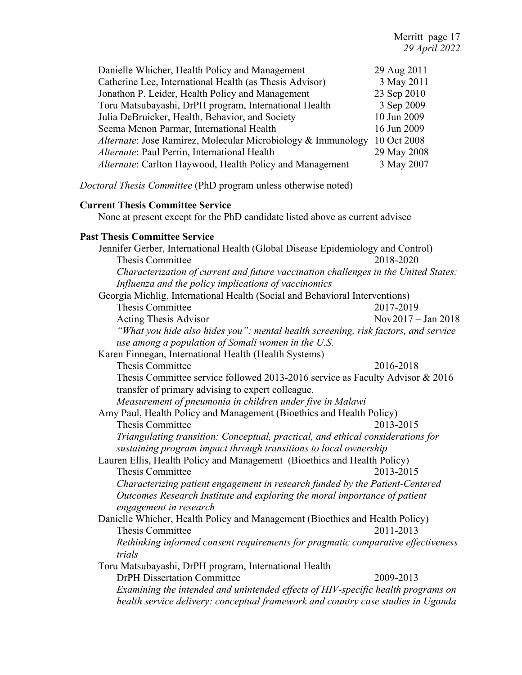| Danielle Whicher, Health Policy and Management               | 29 Aug 2011 |
|--------------------------------------------------------------|-------------|
| Catherine Lee, International Health (as Thesis Advisor)      | 3 May 2011  |
| Jonathon P. Leider, Health Policy and Management             | 23 Sep 2010 |
| Toru Matsubayashi, DrPH program, International Health        | 3 Sep 2009  |
| Julia DeBruicker, Health, Behavior, and Society              | 10 Jun 2009 |
| Seema Menon Parmar, International Health                     | 16 Jun 2009 |
| Alternate: Jose Ramirez, Molecular Microbiology & Immunology | 10 Oct 2008 |
| Alternate: Paul Perrin, International Health                 | 29 May 2008 |
| Alternate: Carlton Haywood, Health Policy and Management     | 3 May 2007  |

*Doctoral Thesis Committee* (PhD program unless otherwise noted)

#### **Current Thesis Committee Service**

None at present except for the PhD candidate listed above as current advisee

#### **Past Thesis Committee Service**

Jennifer Gerber, International Health (Global Disease Epidemiology and Control) Thesis Committee 2018-2020 *Characterization of current and future vaccination challenges in the United States: Influenza and the policy implications of vaccinomics* Georgia Michlig, International Health (Social and Behavioral Interventions) Thesis Committee 2017-2019 Acting Thesis Advisor Nov2017 – Jan 2018 *"What you hide also hides you": mental health screening, risk factors, and service use among a population of Somali women in the U.S.* Karen Finnegan, International Health (Health Systems) Thesis Committee 2016-2018 Thesis Committee service followed 2013-2016 service as Faculty Advisor & 2016 transfer of primary advising to expert colleague. *Measurement of pneumonia in children under five in Malawi* Amy Paul, Health Policy and Management (Bioethics and Health Policy) Thesis Committee 2013-2015 *Triangulating transition: Conceptual, practical, and ethical considerations for sustaining program impact through transitions to local ownership* Lauren Ellis, Health Policy and Management (Bioethics and Health Policy) Thesis Committee 2013-2015 *Characterizing patient engagement in research funded by the Patient-Centered Outcomes Research Institute and exploring the moral importance of patient engagement in research* Danielle Whicher, Health Policy and Management (Bioethics and Health Policy) Thesis Committee 2011-2013 *Rethinking informed consent requirements for pragmatic comparative effectiveness trials* Toru Matsubayashi, DrPH program, International Health DrPH Dissertation Committee 2009-2013 *Examining the intended and unintended effects of HIV-specific health programs on health service delivery: conceptual framework and country case studies in Uganda*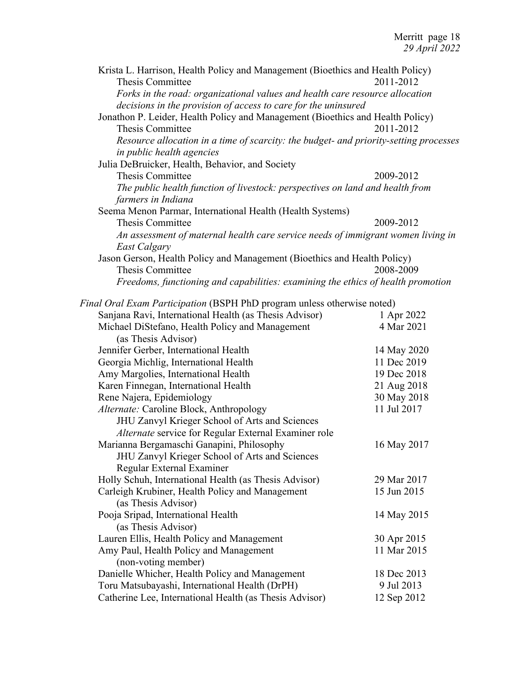| Krista L. Harrison, Health Policy and Management (Bioethics and Health Policy)        |             |
|---------------------------------------------------------------------------------------|-------------|
| Thesis Committee                                                                      | 2011-2012   |
| Forks in the road: organizational values and health care resource allocation          |             |
| decisions in the provision of access to care for the uninsured                        |             |
| Jonathon P. Leider, Health Policy and Management (Bioethics and Health Policy)        |             |
| Thesis Committee                                                                      | 2011-2012   |
| Resource allocation in a time of scarcity: the budget- and priority-setting processes |             |
| in public health agencies                                                             |             |
| Julia DeBruicker, Health, Behavior, and Society                                       |             |
| Thesis Committee                                                                      | 2009-2012   |
| The public health function of livestock: perspectives on land and health from         |             |
| farmers in Indiana                                                                    |             |
| Seema Menon Parmar, International Health (Health Systems)                             |             |
| Thesis Committee                                                                      | 2009-2012   |
| An assessment of maternal health care service needs of immigrant women living in      |             |
| East Calgary                                                                          |             |
| Jason Gerson, Health Policy and Management (Bioethics and Health Policy)              |             |
| Thesis Committee                                                                      | 2008-2009   |
| Freedoms, functioning and capabilities: examining the ethics of health promotion      |             |
|                                                                                       |             |
| Final Oral Exam Participation (BSPH PhD program unless otherwise noted)               |             |
| Sanjana Ravi, International Health (as Thesis Advisor)                                | 1 Apr 2022  |
| Michael DiStefano, Health Policy and Management                                       | 4 Mar 2021  |
| (as Thesis Advisor)                                                                   |             |
| Jennifer Gerber, International Health                                                 | 14 May 2020 |
| Georgia Michlig, International Health                                                 | 11 Dec 2019 |
| Amy Margolies, International Health                                                   | 19 Dec 2018 |
| Karen Finnegan, International Health                                                  | 21 Aug 2018 |
| Rene Najera, Epidemiology                                                             | 30 May 2018 |
| Alternate: Caroline Block, Anthropology                                               | 11 Jul 2017 |
| JHU Zanvyl Krieger School of Arts and Sciences                                        |             |
| Alternate service for Regular External Examiner role                                  |             |
| Marianna Bergamaschi Ganapini, Philosophy                                             | 16 May 2017 |
| JHU Zanvyl Krieger School of Arts and Sciences                                        |             |
| Regular External Examiner                                                             |             |
| Holly Schuh, International Health (as Thesis Advisor)                                 | 29 Mar 2017 |
| Carleigh Krubiner, Health Policy and Management                                       | 15 Jun 2015 |
| (as Thesis Advisor)                                                                   |             |
| Pooja Sripad, International Health                                                    | 14 May 2015 |
| (as Thesis Advisor)                                                                   |             |
| Lauren Ellis, Health Policy and Management                                            | 30 Apr 2015 |
| Amy Paul, Health Policy and Management                                                | 11 Mar 2015 |
| (non-voting member)                                                                   |             |
| Danielle Whicher, Health Policy and Management                                        | 18 Dec 2013 |
| Toru Matsubayashi, International Health (DrPH)                                        | 9 Jul 2013  |
| Catherine Lee, International Health (as Thesis Advisor)                               | 12 Sep 2012 |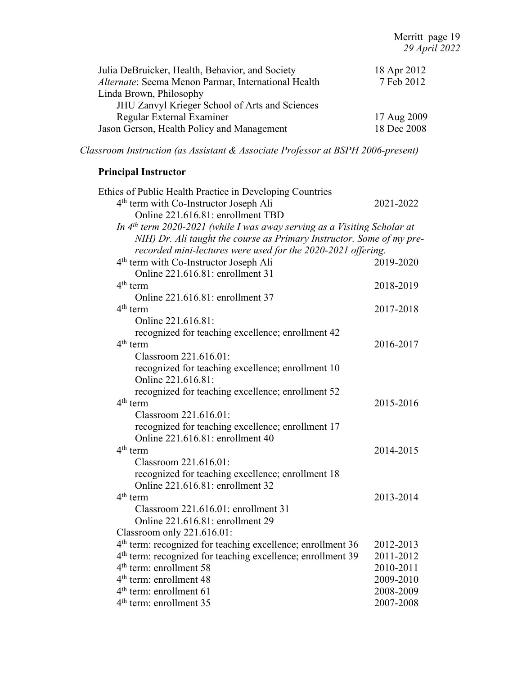| Julia DeBruicker, Health, Behavior, and Society     | 18 Apr 2012 |
|-----------------------------------------------------|-------------|
| Alternate: Seema Menon Parmar, International Health | 7 Feb 2012  |
| Linda Brown, Philosophy                             |             |
| JHU Zanvyl Krieger School of Arts and Sciences      |             |
| Regular External Examiner                           | 17 Aug 2009 |
| Jason Gerson, Health Policy and Management          | 18 Dec 2008 |

*Classroom Instruction (as Assistant & Associate Professor at BSPH 2006-present)*

# **Principal Instructor**

| Ethics of Public Health Practice in Developing Countries                             |           |
|--------------------------------------------------------------------------------------|-----------|
| 4 <sup>th</sup> term with Co-Instructor Joseph Ali                                   | 2021-2022 |
| Online 221.616.81: enrollment TBD                                                    |           |
| In 4 <sup>th</sup> term 2020-2021 (while I was away serving as a Visiting Scholar at |           |
| NIH) Dr. Ali taught the course as Primary Instructor. Some of my pre-                |           |
| recorded mini-lectures were used for the 2020-2021 offering.                         |           |
| 4 <sup>th</sup> term with Co-Instructor Joseph Ali                                   | 2019-2020 |
| Online 221.616.81: enrollment 31                                                     |           |
| $4th$ term                                                                           | 2018-2019 |
| Online 221.616.81: enrollment 37                                                     |           |
| $4th$ term                                                                           | 2017-2018 |
| Online 221.616.81:                                                                   |           |
| recognized for teaching excellence; enrollment 42                                    |           |
| $4th$ term                                                                           | 2016-2017 |
| Classroom 221.616.01:                                                                |           |
| recognized for teaching excellence; enrollment 10                                    |           |
| Online 221.616.81:                                                                   |           |
| recognized for teaching excellence; enrollment 52                                    |           |
| $4th$ term                                                                           | 2015-2016 |
| Classroom 221.616.01:                                                                |           |
| recognized for teaching excellence; enrollment 17                                    |           |
| Online 221.616.81: enrollment 40                                                     |           |
| $4th$ term                                                                           | 2014-2015 |
| Classroom 221.616.01:                                                                |           |
| recognized for teaching excellence; enrollment 18                                    |           |
| Online 221.616.81: enrollment 32                                                     |           |
| $4th$ term                                                                           | 2013-2014 |
| Classroom 221.616.01: enrollment 31                                                  |           |
| Online 221.616.81: enrollment 29                                                     |           |
| Classroom only 221.616.01:                                                           |           |
| $4th$ term: recognized for teaching excellence; enrollment 36                        | 2012-2013 |
| 4 <sup>th</sup> term: recognized for teaching excellence; enrollment 39              | 2011-2012 |
| $4th$ term: enrollment 58                                                            | 2010-2011 |
| 4 <sup>th</sup> term: enrollment 48                                                  | 2009-2010 |
| $4th$ term: enrollment 61                                                            | 2008-2009 |
| $4th$ term: enrollment 35                                                            | 2007-2008 |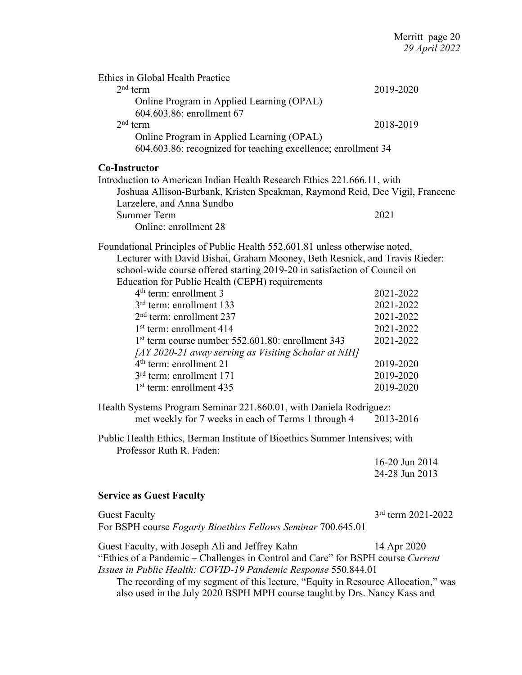| Ethics in Global Health Practice<br>$2nd$ term<br>Online Program in Applied Learning (OPAL)<br>604.603.86: enrollment 67<br>$2nd$ term                                                                                                                                                                                                                                                                                                                                                                                                                                                                                                                 | 2019-2020<br>2018-2019                                                                               |
|--------------------------------------------------------------------------------------------------------------------------------------------------------------------------------------------------------------------------------------------------------------------------------------------------------------------------------------------------------------------------------------------------------------------------------------------------------------------------------------------------------------------------------------------------------------------------------------------------------------------------------------------------------|------------------------------------------------------------------------------------------------------|
| Online Program in Applied Learning (OPAL)<br>604.603.86: recognized for teaching excellence; enrollment 34                                                                                                                                                                                                                                                                                                                                                                                                                                                                                                                                             |                                                                                                      |
| <b>Co-Instructor</b><br>Introduction to American Indian Health Research Ethics 221.666.11, with<br>Joshuaa Allison-Burbank, Kristen Speakman, Raymond Reid, Dee Vigil, Francene<br>Larzelere, and Anna Sundbo<br><b>Summer Term</b><br>Online: enrollment 28                                                                                                                                                                                                                                                                                                                                                                                           | 2021                                                                                                 |
| Foundational Principles of Public Health 552.601.81 unless otherwise noted,<br>Lecturer with David Bishai, Graham Mooney, Beth Resnick, and Travis Rieder:<br>school-wide course offered starting 2019-20 in satisfaction of Council on<br>Education for Public Health (CEPH) requirements<br>$4th$ term: enrollment 3<br>3 <sup>rd</sup> term: enrollment 133<br>$2nd$ term: enrollment 237<br>$1st$ term: enrollment 414<br>1 <sup>st</sup> term course number 552.601.80: enrollment 343<br>[AY 2020-21 away serving as Visiting Scholar at NIH]<br>$4th$ term: enrollment 21<br>$3rd$ term: enrollment 171<br>1 <sup>st</sup> term: enrollment 435 | 2021-2022<br>2021-2022<br>2021-2022<br>2021-2022<br>2021-2022<br>2019-2020<br>2019-2020<br>2019-2020 |
| Health Systems Program Seminar 221.860.01, with Daniela Rodriguez:<br>met weekly for 7 weeks in each of Terms 1 through 4                                                                                                                                                                                                                                                                                                                                                                                                                                                                                                                              | 2013-2016                                                                                            |
| Public Health Ethics, Berman Institute of Bioethics Summer Intensives; with<br>Professor Ruth R. Faden:                                                                                                                                                                                                                                                                                                                                                                                                                                                                                                                                                | 16-20 Jun 2014<br>24-28 Jun 2013                                                                     |
| <b>Service as Guest Faculty</b>                                                                                                                                                                                                                                                                                                                                                                                                                                                                                                                                                                                                                        |                                                                                                      |
| <b>Guest Faculty</b><br>For BSPH course <i>Fogarty Bioethics Fellows Seminar</i> 700.645.01                                                                                                                                                                                                                                                                                                                                                                                                                                                                                                                                                            | $3rd$ term 2021-2022                                                                                 |
| Guest Faculty, with Joseph Ali and Jeffrey Kahn<br>"Ethics of a Pandemic - Challenges in Control and Care" for BSPH course Current<br>Issues in Public Health: COVID-19 Pandemic Response 550.844.01<br>The recording of my segment of this lecture, "Equity in Resource Allocation," was<br>also used in the July 2020 BSPH MPH course taught by Drs. Nancy Kass and                                                                                                                                                                                                                                                                                  | 14 Apr 2020                                                                                          |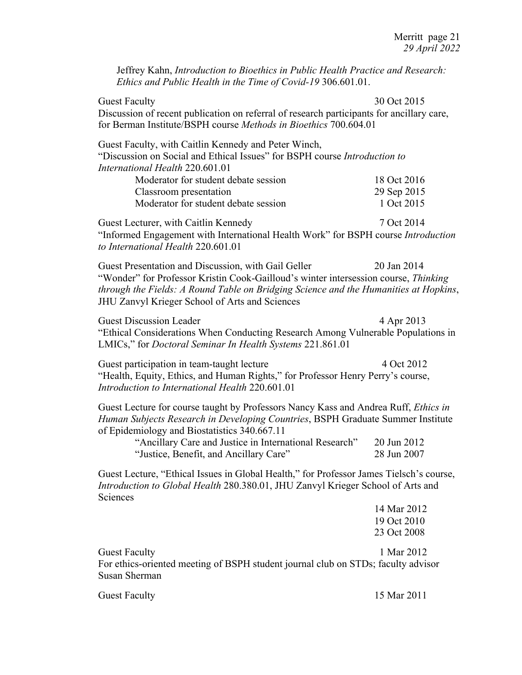Jeffrey Kahn, *Introduction to Bioethics in Public Health Practice and Research: Ethics and Public Health in the Time of Covid-19* 306.601.01.

Guest Faculty 30 Oct 2015 Discussion of recent publication on referral of research participants for ancillary care, for Berman Institute/BSPH course *Methods in Bioethics* 700.604.01 Guest Faculty, with Caitlin Kennedy and Peter Winch, "Discussion on Social and Ethical Issues" for BSPH course *Introduction to International Health* 220.601.01 Moderator for student debate session 18 Oct 2016 Classroom presentation 29 Sep 2015 Moderator for student debate session 1 Oct 2015 Guest Lecturer, with Caitlin Kennedy 7 Oct 2014 "Informed Engagement with International Health Work" for BSPH course *Introduction to International Health* 220.601.01 Guest Presentation and Discussion, with Gail Geller 20 Jan 2014 "Wonder" for Professor Kristin Cook-Gailloud's winter intersession course, *Thinking through the Fields: A Round Table on Bridging Science and the Humanities at Hopkins*, JHU Zanvyl Krieger School of Arts and Sciences Guest Discussion Leader 4 Apr 2013 "Ethical Considerations When Conducting Research Among Vulnerable Populations in LMICs," for *Doctoral Seminar In Health Systems* 221.861.01

Guest participation in team-taught lecture 4 Oct 2012 "Health, Equity, Ethics, and Human Rights," for Professor Henry Perry's course, *Introduction to International Health* 220.601.01

Guest Lecture for course taught by Professors Nancy Kass and Andrea Ruff, *Ethics in Human Subjects Research in Developing Countries*, BSPH Graduate Summer Institute of Epidemiology and Biostatistics 340.667.11

| "Ancillary Care and Justice in International Research" | 20 Jun 2012 |
|--------------------------------------------------------|-------------|
| "Justice, Benefit, and Ancillary Care"                 | 28 Jun 2007 |

Guest Lecture, "Ethical Issues in Global Health," for Professor James Tielsch's course, *Introduction to Global Health* 280.380.01, JHU Zanvyl Krieger School of Arts and Sciences

|                                                                                   | 14 Mar 2012 |
|-----------------------------------------------------------------------------------|-------------|
|                                                                                   | 19 Oct 2010 |
|                                                                                   | 23 Oct 2008 |
| <b>Guest Faculty</b>                                                              | 1 Mar 2012  |
| For ethics-oriented meeting of BSPH student journal club on STDs; faculty advisor |             |
| Susan Sherman                                                                     |             |
|                                                                                   |             |

Guest Faculty 15 Mar 2011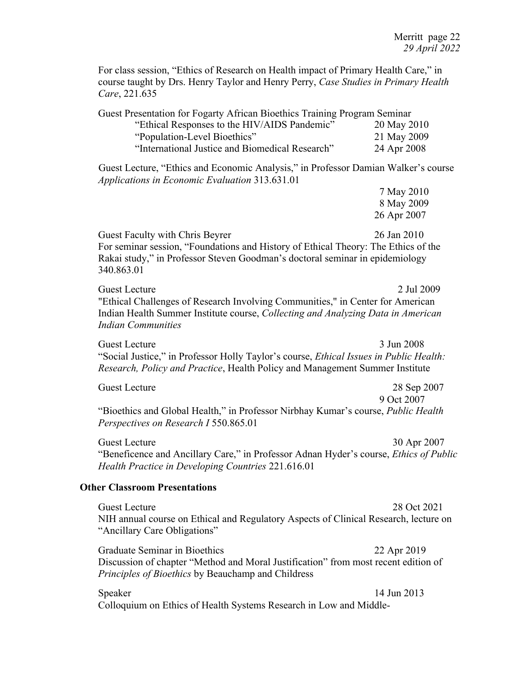For class session, "Ethics of Research on Health impact of Primary Health Care," in course taught by Drs. Henry Taylor and Henry Perry, *Case Studies in Primary Health Care*, 221.635

Guest Presentation for Fogarty African Bioethics Training Program Seminar "Ethical Responses to the HIV/AIDS Pandemic" 20 May 2010 "Population-Level Bioethics" 21 May 2009 "International Justice and Biomedical Research" 24 Apr 2008 Guest Lecture, "Ethics and Economic Analysis," in Professor Damian Walker's course *Applications in Economic Evaluation* 313.631.01 7 May 2010 8 May 2009 26 Apr 2007

Guest Faculty with Chris Beyrer 26 Jan 2010 For seminar session, "Foundations and History of Ethical Theory: The Ethics of the Rakai study," in Professor Steven Goodman's doctoral seminar in epidemiology 340.863.01

Guest Lecture 2 Jul 2009 "Ethical Challenges of Research Involving Communities," in Center for American Indian Health Summer Institute course, *Collecting and Analyzing Data in American Indian Communities*

Guest Lecture 3 Jun 2008 "Social Justice," in Professor Holly Taylor's course, *Ethical Issues in Public Health: Research, Policy and Practice*, Health Policy and Management Summer Institute

Guest Lecture 28 Sep 2007 9 Oct 2007 "Bioethics and Global Health," in Professor Nirbhay Kumar's course, *Public Health Perspectives on Research I* 550.865.01

Guest Lecture 30 Apr 2007 "Beneficence and Ancillary Care," in Professor Adnan Hyder's course, *Ethics of Public Health Practice in Developing Countries* 221.616.01

#### **Other Classroom Presentations**

Guest Lecture 28 Oct 2021 NIH annual course on Ethical and Regulatory Aspects of Clinical Research, lecture on "Ancillary Care Obligations"

Graduate Seminar in Bioethics 22 Apr 2019 Discussion of chapter "Method and Moral Justification" from most recent edition of *Principles of Bioethics* by Beauchamp and Childress

Speaker 14 Jun 2013 Colloquium on Ethics of Health Systems Research in Low and Middle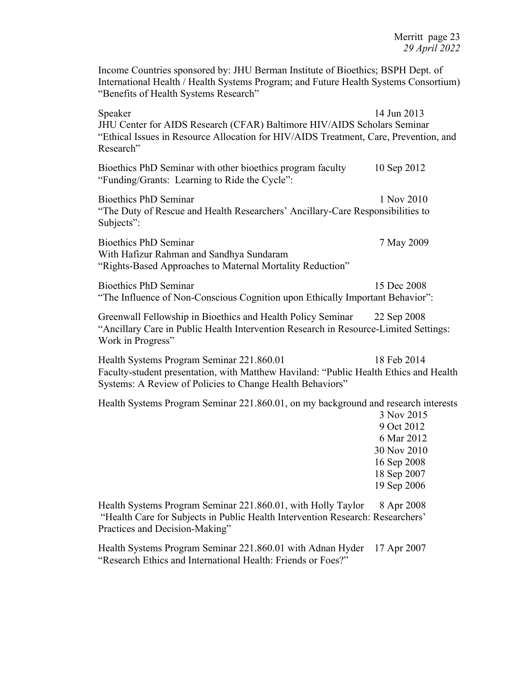Income Countries sponsored by: JHU Berman Institute of Bioethics; BSPH Dept. of International Health / Health Systems Program; and Future Health Systems Consortium) "Benefits of Health Systems Research"

Speaker 14 Jun 2013 JHU Center for AIDS Research (CFAR) Baltimore HIV/AIDS Scholars Seminar "Ethical Issues in Resource Allocation for HIV/AIDS Treatment, Care, Prevention, and Research" Bioethics PhD Seminar with other bioethics program faculty 10 Sep 2012 "Funding/Grants: Learning to Ride the Cycle": Bioethics PhD Seminar 1 Nov 2010 "The Duty of Rescue and Health Researchers' Ancillary-Care Responsibilities to Subjects": Bioethics PhD Seminar 7 May 2009 With Hafizur Rahman and Sandhya Sundaram "Rights-Based Approaches to Maternal Mortality Reduction" Bioethics PhD Seminar 15 Dec 2008 "The Influence of Non-Conscious Cognition upon Ethically Important Behavior": Greenwall Fellowship in Bioethics and Health Policy Seminar 22 Sep 2008 "Ancillary Care in Public Health Intervention Research in Resource-Limited Settings: Work in Progress" Health Systems Program Seminar 221.860.01 18 Feb 2014 Faculty-student presentation, with Matthew Haviland: "Public Health Ethics and Health Systems: A Review of Policies to Change Health Behaviors" Health Systems Program Seminar 221.860.01, on my background and research interests 3 Nov 2015 9 Oct 2012 6 Mar 2012 30 Nov 2010 16 Sep 2008 18 Sep 2007 19 Sep 2006 Health Systems Program Seminar 221.860.01, with Holly Taylor 8 Apr 2008 "Health Care for Subjects in Public Health Intervention Research: Researchers' Practices and Decision-Making"

Health Systems Program Seminar 221.860.01 with Adnan Hyder 17 Apr 2007 "Research Ethics and International Health: Friends or Foes?"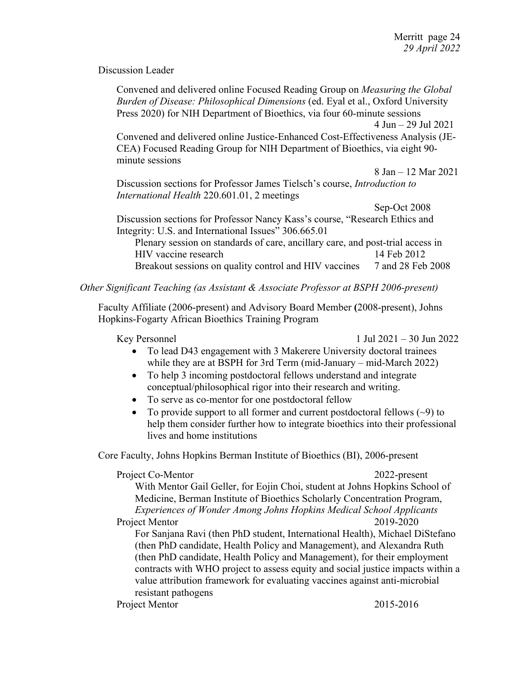Discussion Leader

| Convened and delivered online Focused Reading Group on <i>Measuring the Global</i> |                                        |
|------------------------------------------------------------------------------------|----------------------------------------|
| Burden of Disease: Philosophical Dimensions (ed. Eyal et al., Oxford University    |                                        |
| Press 2020) for NIH Department of Bioethics, via four 60-minute sessions           |                                        |
|                                                                                    | $4$ Jun $-$ 29 Jul 2021                |
| Convened and delivered online Justice-Enhanced Cost-Effectiveness Analysis (JE-    |                                        |
| CEA) Focused Reading Group for NIH Department of Bioethics, via eight 90-          |                                        |
| minute sessions                                                                    |                                        |
|                                                                                    | $8 \text{ Jan} - 12 \text{ Mar } 2021$ |
| Discussion sections for Professor James Tielsch's course, <i>Introduction to</i>   |                                        |
| International Health 220.601.01, 2 meetings                                        |                                        |
|                                                                                    | Sep-Oct 2008                           |
| Discussion sections for Professor Nancy Kass's course, "Research Ethics and        |                                        |
| Integrity: U.S. and International Issues" 306.665.01                               |                                        |
| Plenary session on standards of care, ancillary care, and post-trial access in     |                                        |
| HIV vaccine research                                                               | 14 Feb 2012                            |
| Breakout sessions on quality control and HIV vaccines                              | 7 and 28 Feb 2008                      |

# *Other Significant Teaching (as Assistant & Associate Professor at BSPH 2006-present)*

Faculty Affiliate (2006-present) and Advisory Board Member **(**2008-present), Johns Hopkins-Fogarty African Bioethics Training Program

Key Personnel  $1 \text{ Jul } 2021 - 30 \text{ Jun } 2022$ 

- To lead D43 engagement with 3 Makerere University doctoral trainees while they are at BSPH for 3rd Term (mid-January – mid-March 2022)
- To help 3 incoming postdoctoral fellows understand and integrate conceptual/philosophical rigor into their research and writing.
- To serve as co-mentor for one postdoctoral fellow
- To provide support to all former and current postdoctoral fellows  $(\sim 9)$  to help them consider further how to integrate bioethics into their professional lives and home institutions

Core Faculty, Johns Hopkins Berman Institute of Bioethics (BI), 2006-present

Project Co-Mentor 2022-present With Mentor Gail Geller, for Eojin Choi, student at Johns Hopkins School of Medicine, Berman Institute of Bioethics Scholarly Concentration Program, *Experiences of Wonder Among Johns Hopkins Medical School Applicants* Project Mentor 2019-2020 For Sanjana Ravi (then PhD student, International Health), Michael DiStefano (then PhD candidate, Health Policy and Management), and Alexandra Ruth (then PhD candidate, Health Policy and Management), for their employment contracts with WHO project to assess equity and social justice impacts within a value attribution framework for evaluating vaccines against anti-microbial resistant pathogens Project Mentor 2015-2016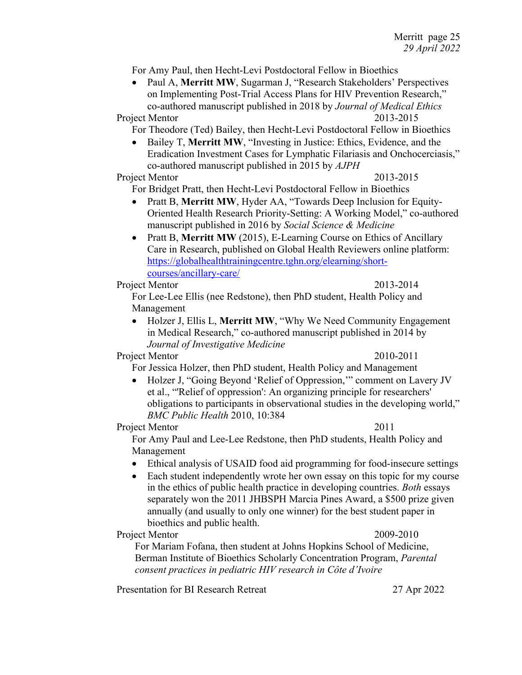For Amy Paul, then Hecht-Levi Postdoctoral Fellow in Bioethics

• Paul A, **Merritt MW**, Sugarman J, "Research Stakeholders' Perspectives on Implementing Post-Trial Access Plans for HIV Prevention Research," co-authored manuscript published in 2018 by *Journal of Medical Ethics* Project Mentor 2013-2015

For Theodore (Ted) Bailey, then Hecht-Levi Postdoctoral Fellow in Bioethics

• Bailey T, **Merritt MW**, "Investing in Justice: Ethics, Evidence, and the Eradication Investment Cases for Lymphatic Filariasis and Onchocerciasis," co-authored manuscript published in 2015 by *AJPH*

#### Project Mentor 2013-2015

For Bridget Pratt, then Hecht-Levi Postdoctoral Fellow in Bioethics

- Pratt B, **Merritt MW**, Hyder AA, "Towards Deep Inclusion for Equity-Oriented Health Research Priority-Setting: A Working Model," co-authored manuscript published in 2016 by *Social Science & Medicine*
- Pratt B, Merritt MW (2015), E-Learning Course on Ethics of Ancillary Care in Research, published on Global Health Reviewers online platform: https://globalhealthtrainingcentre.tghn.org/elearning/shortcourses/ancillary-care/

#### Project Mentor 2013-2014

For Lee-Lee Ellis (nee Redstone), then PhD student, Health Policy and Management

• Holzer J, Ellis L, **Merritt MW**, "Why We Need Community Engagement in Medical Research," co-authored manuscript published in 2014 by *Journal of Investigative Medicine*

#### Project Mentor 2010-2011

For Jessica Holzer, then PhD student, Health Policy and Management

• Holzer J, "Going Beyond 'Relief of Oppression," comment on Lavery JV et al., "'Relief of oppression': An organizing principle for researchers' obligations to participants in observational studies in the developing world," *BMC Public Health* 2010, 10:384

#### Project Mentor 2011

For Amy Paul and Lee-Lee Redstone, then PhD students, Health Policy and Management

- Ethical analysis of USAID food aid programming for food-insecure settings
- Each student independently wrote her own essay on this topic for my course in the ethics of public health practice in developing countries. *Both* essays separately won the 2011 JHBSPH Marcia Pines Award, a \$500 prize given annually (and usually to only one winner) for the best student paper in bioethics and public health.

Project Mentor 2009-2010

For Mariam Fofana, then student at Johns Hopkins School of Medicine, Berman Institute of Bioethics Scholarly Concentration Program, *Parental consent practices in pediatric HIV research in Côte d'Ivoire*

Presentation for BI Research Retreat 27 Apr 2022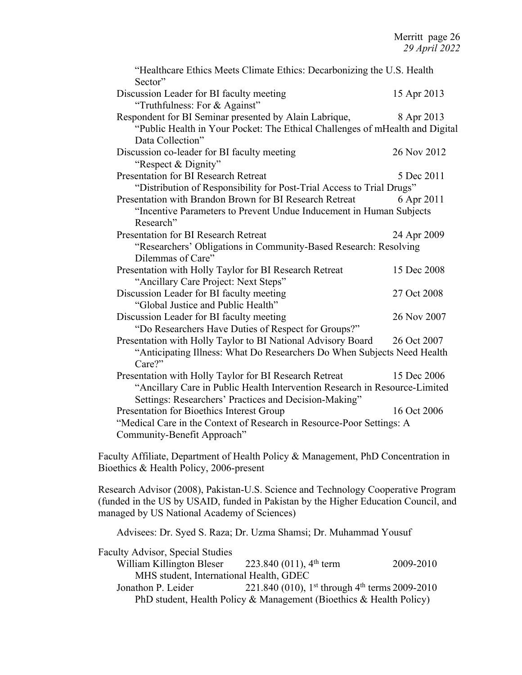| "Healthcare Ethics Meets Climate Ethics: Decarbonizing the U.S. Health<br>Sector" |             |
|-----------------------------------------------------------------------------------|-------------|
| Discussion Leader for BI faculty meeting                                          | 15 Apr 2013 |
| "Truthfulness: For & Against"                                                     |             |
| Respondent for BI Seminar presented by Alain Labrique,                            | 8 Apr 2013  |
| "Public Health in Your Pocket: The Ethical Challenges of mHealth and Digital      |             |
| Data Collection"                                                                  |             |
| Discussion co-leader for BI faculty meeting                                       | 26 Nov 2012 |
| "Respect & Dignity"                                                               |             |
| <b>Presentation for BI Research Retreat</b>                                       | 5 Dec 2011  |
| "Distribution of Responsibility for Post-Trial Access to Trial Drugs"             |             |
| Presentation with Brandon Brown for BI Research Retreat                           | 6 Apr 2011  |
| "Incentive Parameters to Prevent Undue Inducement in Human Subjects               |             |
| Research"                                                                         |             |
| Presentation for BI Research Retreat                                              | 24 Apr 2009 |
| "Researchers' Obligations in Community-Based Research: Resolving                  |             |
| Dilemmas of Care"                                                                 |             |
| Presentation with Holly Taylor for BI Research Retreat                            | 15 Dec 2008 |
| "Ancillary Care Project: Next Steps"                                              |             |
| Discussion Leader for BI faculty meeting                                          | 27 Oct 2008 |
| "Global Justice and Public Health"                                                |             |
| Discussion Leader for BI faculty meeting                                          | 26 Nov 2007 |
| "Do Researchers Have Duties of Respect for Groups?"                               |             |
| Presentation with Holly Taylor to BI National Advisory Board                      | 26 Oct 2007 |
| "Anticipating Illness: What Do Researchers Do When Subjects Need Health           |             |
| Care?"                                                                            |             |
| Presentation with Holly Taylor for BI Research Retreat                            | 15 Dec 2006 |
| "Ancillary Care in Public Health Intervention Research in Resource-Limited        |             |
| Settings: Researchers' Practices and Decision-Making"                             |             |
| Presentation for Bioethics Interest Group                                         | 16 Oct 2006 |
| "Medical Care in the Context of Research in Resource-Poor Settings: A             |             |
| Community-Benefit Approach"                                                       |             |

Faculty Affiliate, Department of Health Policy & Management, PhD Concentration in Bioethics & Health Policy, 2006-present

Research Advisor (2008), Pakistan-U.S. Science and Technology Cooperative Program (funded in the US by USAID, funded in Pakistan by the Higher Education Council, and managed by US National Academy of Sciences)

Advisees: Dr. Syed S. Raza; Dr. Uzma Shamsi; Dr. Muhammad Yousuf

| <b>Faculty Advisor, Special Studies</b> |                                                                        |           |
|-----------------------------------------|------------------------------------------------------------------------|-----------|
| William Killington Bleser               | 223.840 (011), $4th$ term                                              | 2009-2010 |
| MHS student, International Health, GDEC |                                                                        |           |
| Jonathon P. Leider                      | 221.840 (010), 1 <sup>st</sup> through 4 <sup>th</sup> terms 2009-2010 |           |
|                                         | PhD student, Health Policy & Management (Bioethics & Health Policy)    |           |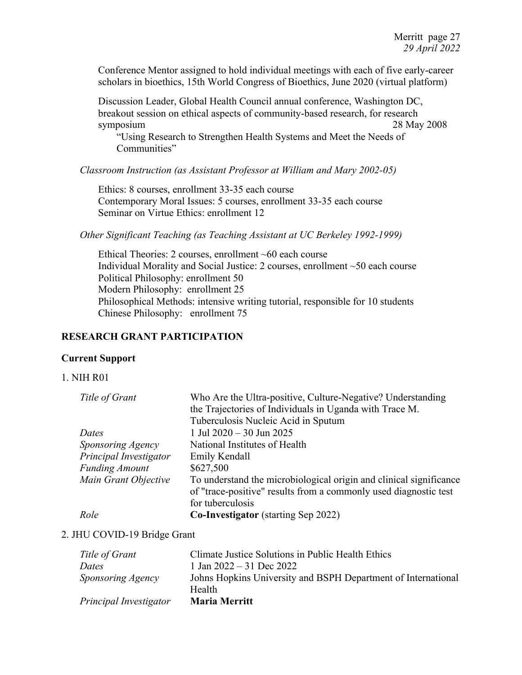Conference Mentor assigned to hold individual meetings with each of five early-career scholars in bioethics, 15th World Congress of Bioethics, June 2020 (virtual platform)

Discussion Leader, Global Health Council annual conference, Washington DC, breakout session on ethical aspects of community-based research, for research symposium 28 May 2008

"Using Research to Strengthen Health Systems and Meet the Needs of Communities"

*Classroom Instruction (as Assistant Professor at William and Mary 2002-05)*

Ethics: 8 courses, enrollment 33-35 each course Contemporary Moral Issues: 5 courses, enrollment 33-35 each course Seminar on Virtue Ethics: enrollment 12

*Other Significant Teaching (as Teaching Assistant at UC Berkeley 1992-1999)*

Ethical Theories: 2 courses, enrollment ~60 each course Individual Morality and Social Justice: 2 courses, enrollment ~50 each course Political Philosophy: enrollment 50 Modern Philosophy: enrollment 25 Philosophical Methods: intensive writing tutorial, responsible for 10 students Chinese Philosophy: enrollment 75

# **RESEARCH GRANT PARTICIPATION**

## **Current Support**

## 1. NIH R01

| Title of Grant         | Who Are the Ultra-positive, Culture-Negative? Understanding        |
|------------------------|--------------------------------------------------------------------|
|                        | the Trajectories of Individuals in Uganda with Trace M.            |
|                        | Tuberculosis Nucleic Acid in Sputum                                |
| Dates                  | 1 Jul 2020 - 30 Jun 2025                                           |
| Sponsoring Agency      | National Institutes of Health                                      |
| Principal Investigator | Emily Kendall                                                      |
| <b>Funding Amount</b>  | \$627,500                                                          |
| Main Grant Objective   | To understand the microbiological origin and clinical significance |
|                        | of "trace-positive" results from a commonly used diagnostic test   |
|                        | for tuberculosis                                                   |
| Role                   | <b>Co-Investigator</b> (starting Sep 2022)                         |

## 2. JHU COVID-19 Bridge Grant

| Title of Grant           | Climate Justice Solutions in Public Health Ethics             |
|--------------------------|---------------------------------------------------------------|
| Dates                    | 1 Jan $2022 - 31$ Dec $2022$                                  |
| <i>Sponsoring Agency</i> | Johns Hopkins University and BSPH Department of International |
|                          | Health                                                        |
| Principal Investigator   | <b>Maria Merritt</b>                                          |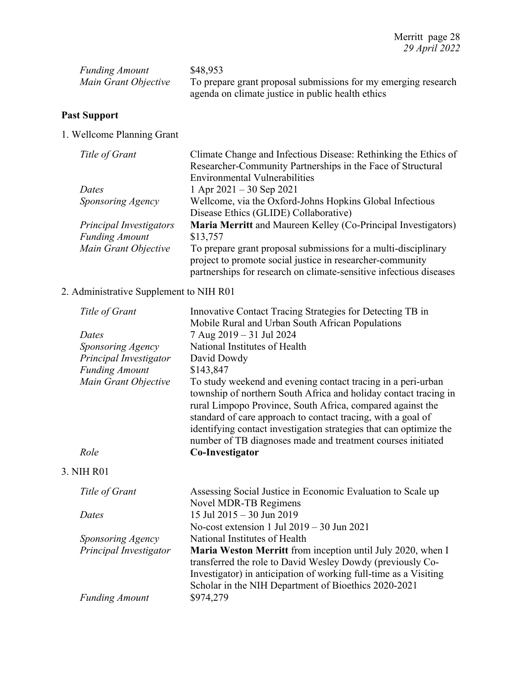| <b>Funding Amount</b> | \$48,953                                                                                                            |
|-----------------------|---------------------------------------------------------------------------------------------------------------------|
| Main Grant Objective  | To prepare grant proposal submissions for my emerging research<br>agenda on climate justice in public health ethics |

# **Past Support**

1. Wellcome Planning Grant

| Climate Change and Infectious Disease: Rethinking the Ethics of    |
|--------------------------------------------------------------------|
| Researcher-Community Partnerships in the Face of Structural        |
| <b>Environmental Vulnerabilities</b>                               |
| 1 Apr $2021 - 30$ Sep $2021$                                       |
| Wellcome, via the Oxford-Johns Hopkins Global Infectious           |
| Disease Ethics (GLIDE) Collaborative)                              |
| Maria Merritt and Maureen Kelley (Co-Principal Investigators)      |
| \$13,757                                                           |
| To prepare grant proposal submissions for a multi-disciplinary     |
| project to promote social justice in researcher-community          |
| partnerships for research on climate-sensitive infectious diseases |
|                                                                    |

# 2. Administrative Supplement to NIH R01

| Title of Grant         | Innovative Contact Tracing Strategies for Detecting TB in<br>Mobile Rural and Urban South African Populations                                                                                                                                                                                                                                                                                       |
|------------------------|-----------------------------------------------------------------------------------------------------------------------------------------------------------------------------------------------------------------------------------------------------------------------------------------------------------------------------------------------------------------------------------------------------|
| Dates                  | 7 Aug 2019 - 31 Jul 2024                                                                                                                                                                                                                                                                                                                                                                            |
| Sponsoring Agency      | National Institutes of Health                                                                                                                                                                                                                                                                                                                                                                       |
| Principal Investigator | David Dowdy                                                                                                                                                                                                                                                                                                                                                                                         |
| <b>Funding Amount</b>  | \$143,847                                                                                                                                                                                                                                                                                                                                                                                           |
| Main Grant Objective   | To study weekend and evening contact tracing in a peri-urban<br>township of northern South Africa and holiday contact tracing in<br>rural Limpopo Province, South Africa, compared against the<br>standard of care approach to contact tracing, with a goal of<br>identifying contact investigation strategies that can optimize the<br>number of TB diagnoses made and treatment courses initiated |
| Role                   | Co-Investigator                                                                                                                                                                                                                                                                                                                                                                                     |
| 3. NIH R01             |                                                                                                                                                                                                                                                                                                                                                                                                     |
| Title of Grant         | Assessing Social Justice in Economic Evaluation to Scale up<br>Novel MDR-TB Regimens                                                                                                                                                                                                                                                                                                                |
| Dates                  | 15 Jul 2015 - 30 Jun 2019                                                                                                                                                                                                                                                                                                                                                                           |
|                        | No-cost extension 1 Jul $2019 - 30$ Jun $2021$                                                                                                                                                                                                                                                                                                                                                      |
| Sponsoring Agency      | National Institutes of Health                                                                                                                                                                                                                                                                                                                                                                       |
| Principal Investigator | <b>Maria Weston Merritt</b> from inception until July 2020, when I<br>transferred the role to David Wesley Dowdy (previously Co-<br>Investigator) in anticipation of working full-time as a Visiting<br>Scholar in the NIH Department of Bioethics 2020-2021                                                                                                                                        |
| <b>Funding Amount</b>  | \$974,279                                                                                                                                                                                                                                                                                                                                                                                           |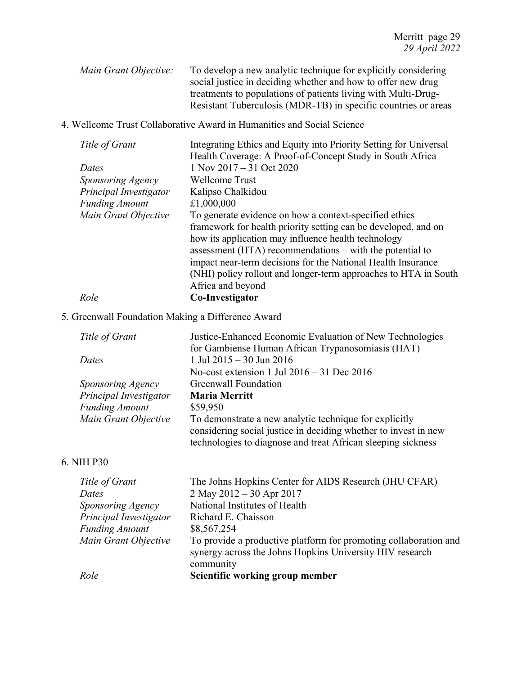*Main Grant Objective:* To develop a new analytic technique for explicitly considering social justice in deciding whether and how to offer new drug treatments to populations of patients living with Multi-Drug-Resistant Tuberculosis (MDR-TB) in specific countries or areas

4. Wellcome Trust Collaborative Award in Humanities and Social Science

| Title of Grant         | Integrating Ethics and Equity into Priority Setting for Universal |
|------------------------|-------------------------------------------------------------------|
|                        | Health Coverage: A Proof-of-Concept Study in South Africa         |
| Dates                  | $1$ Nov $2017 - 31$ Oct $2020$                                    |
| Sponsoring Agency      | Wellcome Trust                                                    |
| Principal Investigator | Kalipso Chalkidou                                                 |
| <b>Funding Amount</b>  | £1,000,000                                                        |
| Main Grant Objective   | To generate evidence on how a context-specified ethics            |
|                        | framework for health priority setting can be developed, and on    |
|                        | how its application may influence health technology               |
|                        | assessment $(HTA)$ recommendations – with the potential to        |
|                        | impact near-term decisions for the National Health Insurance      |
|                        | (NHI) policy rollout and longer-term approaches to HTA in South   |
|                        | Africa and beyond                                                 |
| Role                   | Co-Investigator                                                   |

# 5. Greenwall Foundation Making a Difference Award

| Title of Grant         | Justice-Enhanced Economic Evaluation of New Technologies<br>for Gambiense Human African Trypanosomiasis (HAT)                                                                             |
|------------------------|-------------------------------------------------------------------------------------------------------------------------------------------------------------------------------------------|
| Dates                  | 1 Jul 2015 – 30 Jun 2016                                                                                                                                                                  |
|                        | No-cost extension 1 Jul $2016 - 31$ Dec $2016$                                                                                                                                            |
| Sponsoring Agency      | Greenwall Foundation                                                                                                                                                                      |
| Principal Investigator | <b>Maria Merritt</b>                                                                                                                                                                      |
| <b>Funding Amount</b>  | \$59,950                                                                                                                                                                                  |
| Main Grant Objective   | To demonstrate a new analytic technique for explicitly<br>considering social justice in deciding whether to invest in new<br>technologies to diagnose and treat African sleeping sickness |
| 6. NIH P30             |                                                                                                                                                                                           |
| Title of Grant         | The Johns Hopkins Center for AIDS Research (JHU CFAR)                                                                                                                                     |
| Dates                  | 2 May 2012 – 30 Apr 2017                                                                                                                                                                  |
| Sponsoring Agency      | National Institutes of Health                                                                                                                                                             |
| Principal Investigator | Richard E. Chaisson                                                                                                                                                                       |
| <b>Funding Amount</b>  | \$8,567,254                                                                                                                                                                               |
| Main Grant Objective   | To provide a productive platform for promoting collaboration and<br>synergy across the Johns Hopkins University HIV research                                                              |

*Role* **Scientific working group member**

community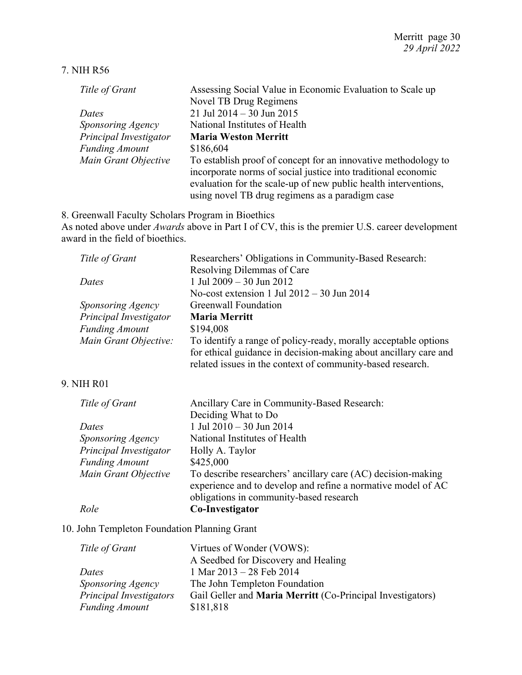### 7. NIH R56

| Title of Grant         | Assessing Social Value in Economic Evaluation to Scale up                                                                                                                                          |
|------------------------|----------------------------------------------------------------------------------------------------------------------------------------------------------------------------------------------------|
|                        | Novel TB Drug Regimens                                                                                                                                                                             |
| Dates                  | 21 Jul 2014 - 30 Jun 2015                                                                                                                                                                          |
| Sponsoring Agency      | National Institutes of Health                                                                                                                                                                      |
| Principal Investigator | <b>Maria Weston Merritt</b>                                                                                                                                                                        |
| <b>Funding Amount</b>  | \$186,604                                                                                                                                                                                          |
| Main Grant Objective   | To establish proof of concept for an innovative methodology to<br>incorporate norms of social justice into traditional economic<br>evaluation for the scale-up of new public health interventions, |
|                        | using novel TB drug regimens as a paradigm case                                                                                                                                                    |

8. Greenwall Faculty Scholars Program in Bioethics

As noted above under *Awards* above in Part I of CV, this is the premier U.S. career development award in the field of bioethics.

| Title of Grant                                                                                                                                                                                                                                | Researchers' Obligations in Community-Based Research:                                                                                                                                             |
|-----------------------------------------------------------------------------------------------------------------------------------------------------------------------------------------------------------------------------------------------|---------------------------------------------------------------------------------------------------------------------------------------------------------------------------------------------------|
|                                                                                                                                                                                                                                               | Resolving Dilemmas of Care                                                                                                                                                                        |
| Dates                                                                                                                                                                                                                                         | 1 Jul 2009 - 30 Jun 2012                                                                                                                                                                          |
|                                                                                                                                                                                                                                               | No-cost extension 1 Jul $2012 - 30$ Jun $2014$                                                                                                                                                    |
| Sponsoring Agency                                                                                                                                                                                                                             | <b>Greenwall Foundation</b>                                                                                                                                                                       |
| Principal Investigator                                                                                                                                                                                                                        | <b>Maria Merritt</b>                                                                                                                                                                              |
| <b>Funding Amount</b>                                                                                                                                                                                                                         | \$194,008                                                                                                                                                                                         |
| Main Grant Objective:                                                                                                                                                                                                                         | To identify a range of policy-ready, morally acceptable options<br>for ethical guidance in decision-making about ancillary care and<br>related issues in the context of community-based research. |
| 9. NIH R01                                                                                                                                                                                                                                    |                                                                                                                                                                                                   |
| Title of Grant                                                                                                                                                                                                                                | Ancillary Care in Community-Based Research:                                                                                                                                                       |
|                                                                                                                                                                                                                                               | Deciding What to Do                                                                                                                                                                               |
| Dates                                                                                                                                                                                                                                         | 1 Jul 2010 - 30 Jun 2014                                                                                                                                                                          |
| Sponsoring Agency                                                                                                                                                                                                                             | National Institutes of Health                                                                                                                                                                     |
| Principal Investigator                                                                                                                                                                                                                        | Holly A. Taylor                                                                                                                                                                                   |
| <b>Funding Amount</b>                                                                                                                                                                                                                         | \$425,000                                                                                                                                                                                         |
| Main Grant Objective                                                                                                                                                                                                                          | To describe researchers' ancillary care (AC) decision-making<br>experience and to develop and refine a normative model of AC<br>obligations in community-based research                           |
| Role                                                                                                                                                                                                                                          | Co-Investigator                                                                                                                                                                                   |
| 10. L.L., $\mathbf{T}_{1}$ , $\mathbf{L}_{2}$ , $\mathbf{L}_{3}$ , $\mathbf{L}_{4}$ , $\mathbf{L}_{5}$ , $\mathbf{L}_{5}$ , $\mathbf{L}_{6}$ , $\mathbf{L}_{7}$ , $\mathbf{L}_{8}$ , $\mathbf{L}_{9}$ , $\mathbf{L}_{10}$ , $\mathbf{L}_{11}$ |                                                                                                                                                                                                   |

# 10. John Templeton Foundation Planning Grant

| Title of Grant                 | Virtues of Wonder (VOWS):                                         |
|--------------------------------|-------------------------------------------------------------------|
|                                | A Seedbed for Discovery and Healing                               |
| Dates                          | 1 Mar 2013 - 28 Feb 2014                                          |
| Sponsoring Agency              | The John Templeton Foundation                                     |
| <b>Principal Investigators</b> | Gail Geller and <b>Maria Merritt</b> (Co-Principal Investigators) |
| <b>Funding Amount</b>          | \$181,818                                                         |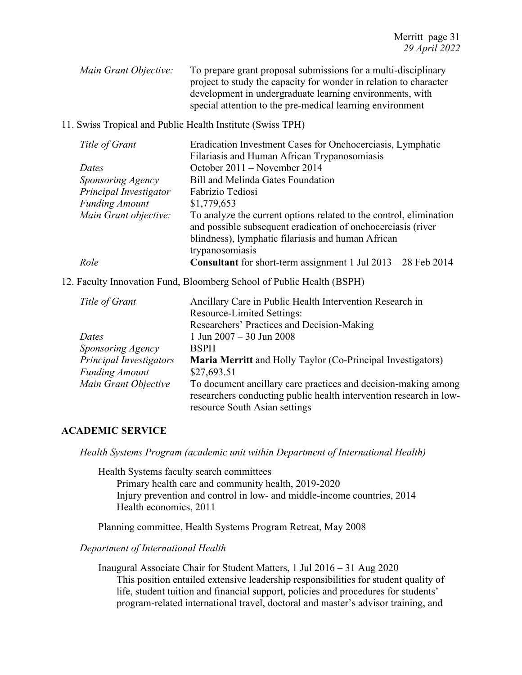*Main Grant Objective:* To prepare grant proposal submissions for a multi-disciplinary project to study the capacity for wonder in relation to character development in undergraduate learning environments, with special attention to the pre-medical learning environment

#### 11. Swiss Tropical and Public Health Institute (Swiss TPH)

| Role                   | <b>Consultant</b> for short-term assignment 1 Jul $2013 - 28$ Feb $2014$                                           |
|------------------------|--------------------------------------------------------------------------------------------------------------------|
|                        | trypanosomiasis                                                                                                    |
|                        | and possible subsequent eradication of onchocerciasis (river<br>blindness), lymphatic filariasis and human African |
| Main Grant objective:  | To analyze the current options related to the control, elimination                                                 |
| <b>Funding Amount</b>  | \$1,779,653                                                                                                        |
| Principal Investigator | Fabrizio Tediosi                                                                                                   |
| Sponsoring Agency      | Bill and Melinda Gates Foundation                                                                                  |
| Dates                  | October 2011 – November 2014                                                                                       |
|                        | Filariasis and Human African Trypanosomiasis                                                                       |
| Title of Grant         | Eradication Investment Cases for Onchocerciasis, Lymphatic                                                         |

12. Faculty Innovation Fund, Bloomberg School of Public Health (BSPH)

| Title of Grant          | Ancillary Care in Public Health Intervention Research in           |
|-------------------------|--------------------------------------------------------------------|
|                         | Resource-Limited Settings:                                         |
|                         | Researchers' Practices and Decision-Making                         |
| Dates                   | 1 Jun $2007 - 30$ Jun $2008$                                       |
| Sponsoring Agency       | <b>BSPH</b>                                                        |
| Principal Investigators | <b>Maria Merritt</b> and Holly Taylor (Co-Principal Investigators) |
| <b>Funding Amount</b>   | \$27,693.51                                                        |
| Main Grant Objective    | To document ancillary care practices and decision-making among     |
|                         | researchers conducting public health intervention research in low- |
|                         | resource South Asian settings                                      |

## **ACADEMIC SERVICE**

*Health Systems Program (academic unit within Department of International Health)*

Health Systems faculty search committees Primary health care and community health, 2019-2020 Injury prevention and control in low‐ and middle‐income countries, 2014 Health economics, 2011

Planning committee, Health Systems Program Retreat, May 2008

# *Department of International Health*

Inaugural Associate Chair for Student Matters, 1 Jul 2016 – 31 Aug 2020 This position entailed extensive leadership responsibilities for student quality of life, student tuition and financial support, policies and procedures for students' program-related international travel, doctoral and master's advisor training, and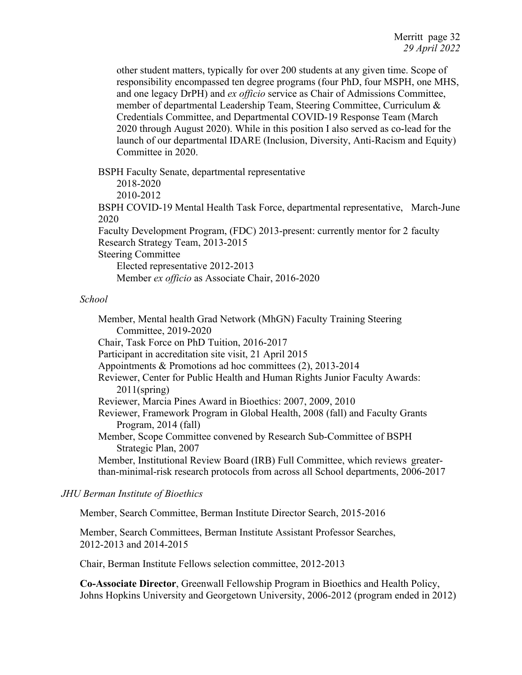other student matters, typically for over 200 students at any given time. Scope of responsibility encompassed ten degree programs (four PhD, four MSPH, one MHS, and one legacy DrPH) and *ex officio* service as Chair of Admissions Committee, member of departmental Leadership Team, Steering Committee, Curriculum & Credentials Committee, and Departmental COVID-19 Response Team (March 2020 through August 2020). While in this position I also served as co-lead for the launch of our departmental IDARE (Inclusion, Diversity, Anti-Racism and Equity) Committee in 2020.

BSPH Faculty Senate, departmental representative 2018-2020 2010-2012 BSPH COVID-19 Mental Health Task Force, departmental representative, March-June 2020 Faculty Development Program, (FDC) 2013-present: currently mentor for 2 faculty Research Strategy Team, 2013-2015 Steering Committee Elected representative 2012-2013 Member *ex officio* as Associate Chair, 2016-2020

#### *School*

Member, Mental health Grad Network (MhGN) Faculty Training Steering Committee, 2019-2020 Chair, Task Force on PhD Tuition, 2016-2017 Participant in accreditation site visit, 21 April 2015 Appointments & Promotions ad hoc committees (2), 2013-2014 Reviewer, Center for Public Health and Human Rights Junior Faculty Awards: 2011(spring) Reviewer, Marcia Pines Award in Bioethics: 2007, 2009, 2010 Reviewer, Framework Program in Global Health, 2008 (fall) and Faculty Grants Program, 2014 (fall) Member, Scope Committee convened by Research Sub-Committee of BSPH Strategic Plan, 2007 Member, Institutional Review Board (IRB) Full Committee, which reviews greaterthan-minimal-risk research protocols from across all School departments, 2006-2017

#### *JHU Berman Institute of Bioethics*

Member, Search Committee, Berman Institute Director Search, 2015-2016

Member, Search Committees, Berman Institute Assistant Professor Searches, 2012-2013 and 2014-2015

Chair, Berman Institute Fellows selection committee, 2012-2013

**Co-Associate Director**, Greenwall Fellowship Program in Bioethics and Health Policy, Johns Hopkins University and Georgetown University, 2006-2012 (program ended in 2012)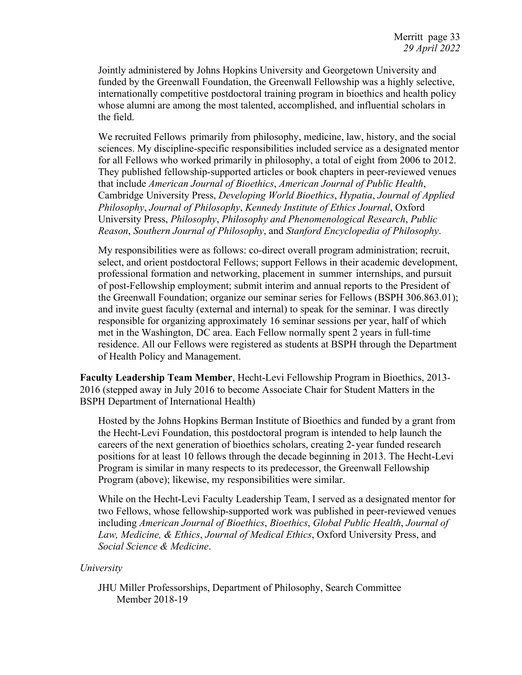Jointly administered by Johns Hopkins University and Georgetown University and funded by the Greenwall Foundation, the Greenwall Fellowship was a highly selective, internationally competitive postdoctoral training program in bioethics and health policy whose alumni are among the most talented, accomplished, and influential scholars in the field.

We recruited Fellows primarily from philosophy, medicine, law, history, and the social sciences. My discipline-specific responsibilities included service as a designated mentor for all Fellows who worked primarily in philosophy, a total of eight from 2006 to 2012. They published fellowship-supported articles or book chapters in peer-reviewed venues that include *American Journal of Bioethics*, *American Journal of Public Health*, Cambridge University Press, *Developing World Bioethics*, *Hypatia*, *Journal of Applied Philosophy*, *Journal of Philosophy*, *Kennedy Institute of Ethics Journal*, Oxford University Press, *Philosophy*, *Philosophy and Phenomenological Research*, *Public Reason*, *Southern Journal of Philosophy*, and *Stanford Encyclopedia of Philosophy*.

My responsibilities were as follows: co-direct overall program administration; recruit, select, and orient postdoctoral Fellows; support Fellows in their academic development, professional formation and networking, placement in summer internships, and pursuit of post-Fellowship employment; submit interim and annual reports to the President of the Greenwall Foundation; organize our seminar series for Fellows (BSPH 306.863.01); and invite guest faculty (external and internal) to speak for the seminar. I was directly responsible for organizing approximately 16 seminar sessions per year, half of which met in the Washington, DC area. Each Fellow normally spent 2 years in full-time residence. All our Fellows were registered as students at BSPH through the Department of Health Policy and Management.

**Faculty Leadership Team Member**, Hecht-Levi Fellowship Program in Bioethics, 2013- 2016 (stepped away in July 2016 to become Associate Chair for Student Matters in the BSPH Department of International Health)

Hosted by the Johns Hopkins Berman Institute of Bioethics and funded by a grant from the Hecht-Levi Foundation, this postdoctoral program is intended to help launch the careers of the next generation of bioethics scholars, creating 2-year funded research positions for at least 10 fellows through the decade beginning in 2013. The Hecht-Levi Program is similar in many respects to its predecessor, the Greenwall Fellowship Program (above); likewise, my responsibilities were similar.

While on the Hecht-Levi Faculty Leadership Team, I served as a designated mentor for two Fellows, whose fellowship-supported work was published in peer-reviewed venues including *American Journal of Bioethics*, *Bioethics*, *Global Public Health*, *Journal of Law, Medicine, & Ethics*, *Journal of Medical Ethics*, Oxford University Press, and *Social Science & Medicine*.

## *University*

JHU Miller Professorships, Department of Philosophy, Search Committee Member 2018-19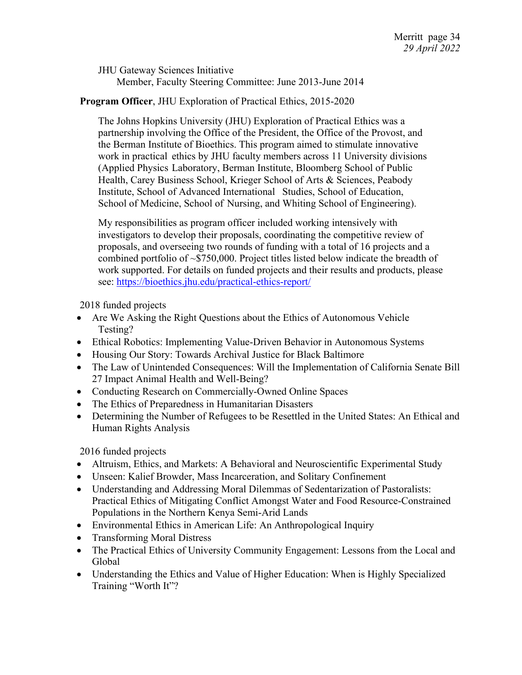JHU Gateway Sciences Initiative Member, Faculty Steering Committee: June 2013-June 2014

# **Program Officer**, JHU Exploration of Practical Ethics, 2015-2020

The Johns Hopkins University (JHU) Exploration of Practical Ethics was a partnership involving the Office of the President, the Office of the Provost, and the Berman Institute of Bioethics. This program aimed to stimulate innovative work in practical ethics by JHU faculty members across 11 University divisions (Applied Physics Laboratory, Berman Institute, Bloomberg School of Public Health, Carey Business School, Krieger School of Arts & Sciences, Peabody Institute, School of Advanced International Studies, School of Education, School of Medicine, School of Nursing, and Whiting School of Engineering).

My responsibilities as program officer included working intensively with investigators to develop their proposals, coordinating the competitive review of proposals, and overseeing two rounds of funding with a total of 16 projects and a combined portfolio of ~\$750,000. Project titles listed below indicate the breadth of work supported. For details on funded projects and their results and products, please see: https://bioethics.jhu.edu/practical-ethics-report/

2018 funded projects

- Are We Asking the Right Questions about the Ethics of Autonomous Vehicle Testing?
- Ethical Robotics: Implementing Value-Driven Behavior in Autonomous Systems
- Housing Our Story: Towards Archival Justice for Black Baltimore
- The Law of Unintended Consequences: Will the Implementation of California Senate Bill 27 Impact Animal Health and Well-Being?
- Conducting Research on Commercially-Owned Online Spaces
- The Ethics of Preparedness in Humanitarian Disasters
- Determining the Number of Refugees to be Resettled in the United States: An Ethical and Human Rights Analysis

2016 funded projects

- Altruism, Ethics, and Markets: A Behavioral and Neuroscientific Experimental Study
- Unseen: Kalief Browder, Mass Incarceration, and Solitary Confinement
- Understanding and Addressing Moral Dilemmas of Sedentarization of Pastoralists: Practical Ethics of Mitigating Conflict Amongst Water and Food Resource-Constrained Populations in the Northern Kenya Semi-Arid Lands
- Environmental Ethics in American Life: An Anthropological Inquiry
- Transforming Moral Distress
- The Practical Ethics of University Community Engagement: Lessons from the Local and Global
- Understanding the Ethics and Value of Higher Education: When is Highly Specialized Training "Worth It"?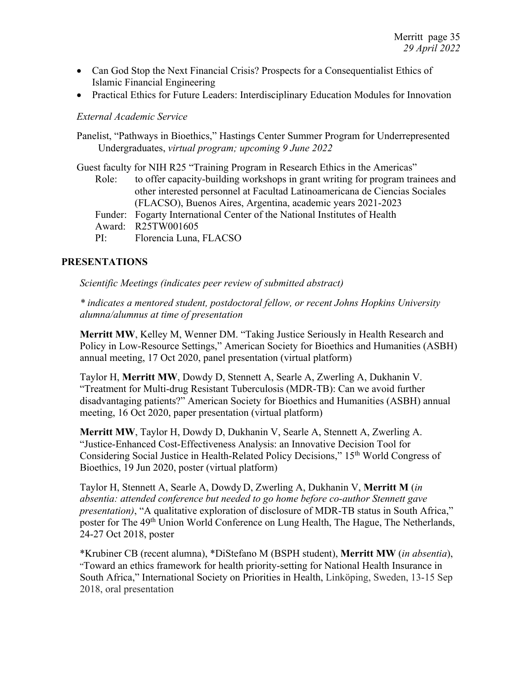- Can God Stop the Next Financial Crisis? Prospects for a Consequentialist Ethics of Islamic Financial Engineering
- Practical Ethics for Future Leaders: Interdisciplinary Education Modules for Innovation

#### *External Academic Service*

Panelist, "Pathways in Bioethics," Hastings Center Summer Program for Underrepresented Undergraduates, *virtual program; upcoming 9 June 2022*

Guest faculty for NIH R25 "Training Program in Research Ethics in the Americas" Role: to offer capacity-building workshops in grant writing for program trainees and other interested personnel at Facultad Latinoamericana de Ciencias Sociales (FLACSO), Buenos Aires, Argentina, academic years 2021-2023 Funder: Fogarty International Center of the National Institutes of Health Award: R25TW001605 PI: Florencia Luna, FLACSO

## **PRESENTATIONS**

*Scientific Meetings (indicates peer review of submitted abstract)*

*\* indicates a mentored student, postdoctoral fellow, or recent Johns Hopkins University alumna/alumnus at time of presentation*

**Merritt MW**, Kelley M, Wenner DM. "Taking Justice Seriously in Health Research and Policy in Low-Resource Settings," American Society for Bioethics and Humanities (ASBH) annual meeting, 17 Oct 2020, panel presentation (virtual platform)

Taylor H, **Merritt MW**, Dowdy D, Stennett A, Searle A, Zwerling A, Dukhanin V. "Treatment for Multi-drug Resistant Tuberculosis (MDR-TB): Can we avoid further disadvantaging patients?" American Society for Bioethics and Humanities (ASBH) annual meeting, 16 Oct 2020, paper presentation (virtual platform)

**Merritt MW**, Taylor H, Dowdy D, Dukhanin V, Searle A, Stennett A, Zwerling A. "Justice-Enhanced Cost-Effectiveness Analysis: an Innovative Decision Tool for Considering Social Justice in Health-Related Policy Decisions," 15th World Congress of Bioethics, 19 Jun 2020, poster (virtual platform)

Taylor H, Stennett A, Searle A, Dowdy D, Zwerling A, Dukhanin V, **Merritt M** (*in absentia: attended conference but needed to go home before co-author Stennett gave presentation*), "A qualitative exploration of disclosure of MDR-TB status in South Africa," poster for The 49<sup>th</sup> Union World Conference on Lung Health, The Hague, The Netherlands, 24-27 Oct 2018, poster

\*Krubiner CB (recent alumna), \*DiStefano M (BSPH student), **Merritt MW** (*in absentia*), "Toward an ethics framework for health priority-setting for National Health Insurance in South Africa," International Society on Priorities in Health, Linköping, Sweden, 13-15 Sep 2018, oral presentation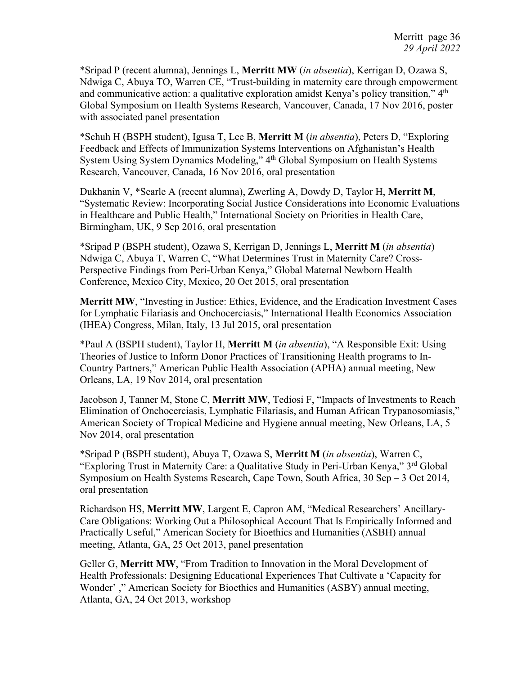\*Sripad P (recent alumna), Jennings L, **Merritt MW** (*in absentia*), Kerrigan D, Ozawa S, Ndwiga C, Abuya TO, Warren CE, "Trust-building in maternity care through empowerment and communicative action: a qualitative exploration amidst Kenya's policy transition," 4<sup>th</sup> Global Symposium on Health Systems Research, Vancouver, Canada, 17 Nov 2016, poster with associated panel presentation

\*Schuh H (BSPH student), Igusa T, Lee B, **Merritt M** (*in absentia*), Peters D, "Exploring Feedback and Effects of Immunization Systems Interventions on Afghanistan's Health System Using System Dynamics Modeling," 4th Global Symposium on Health Systems Research, Vancouver, Canada, 16 Nov 2016, oral presentation

Dukhanin V, \*Searle A (recent alumna), Zwerling A, Dowdy D, Taylor H, **Merritt M**, "Systematic Review: Incorporating Social Justice Considerations into Economic Evaluations in Healthcare and Public Health," International Society on Priorities in Health Care, Birmingham, UK, 9 Sep 2016, oral presentation

\*Sripad P (BSPH student), Ozawa S, Kerrigan D, Jennings L, **Merritt M** (*in absentia*) Ndwiga C, Abuya T, Warren C, "What Determines Trust in Maternity Care? Cross-Perspective Findings from Peri-Urban Kenya," Global Maternal Newborn Health Conference, Mexico City, Mexico, 20 Oct 2015, oral presentation

**Merritt MW**, "Investing in Justice: Ethics, Evidence, and the Eradication Investment Cases for Lymphatic Filariasis and Onchocerciasis," International Health Economics Association (IHEA) Congress, Milan, Italy, 13 Jul 2015, oral presentation

\*Paul A (BSPH student), Taylor H, **Merritt M** (*in absentia*), "A Responsible Exit: Using Theories of Justice to Inform Donor Practices of Transitioning Health programs to In-Country Partners," American Public Health Association (APHA) annual meeting, New Orleans, LA, 19 Nov 2014, oral presentation

Jacobson J, Tanner M, Stone C, **Merritt MW**, Tediosi F, "Impacts of Investments to Reach Elimination of Onchocerciasis, Lymphatic Filariasis, and Human African Trypanosomiasis," American Society of Tropical Medicine and Hygiene annual meeting, New Orleans, LA, 5 Nov 2014, oral presentation

\*Sripad P (BSPH student), Abuya T, Ozawa S, **Merritt M** (*in absentia*), Warren C, "Exploring Trust in Maternity Care: a Qualitative Study in Peri-Urban Kenya," 3rd Global Symposium on Health Systems Research, Cape Town, South Africa, 30 Sep – 3 Oct 2014, oral presentation

Richardson HS, **Merritt MW**, Largent E, Capron AM, "Medical Researchers' Ancillary-Care Obligations: Working Out a Philosophical Account That Is Empirically Informed and Practically Useful," American Society for Bioethics and Humanities (ASBH) annual meeting, Atlanta, GA, 25 Oct 2013, panel presentation

Geller G, **Merritt MW**, "From Tradition to Innovation in the Moral Development of Health Professionals: Designing Educational Experiences That Cultivate a 'Capacity for Wonder' ," American Society for Bioethics and Humanities (ASBY) annual meeting, Atlanta, GA, 24 Oct 2013, workshop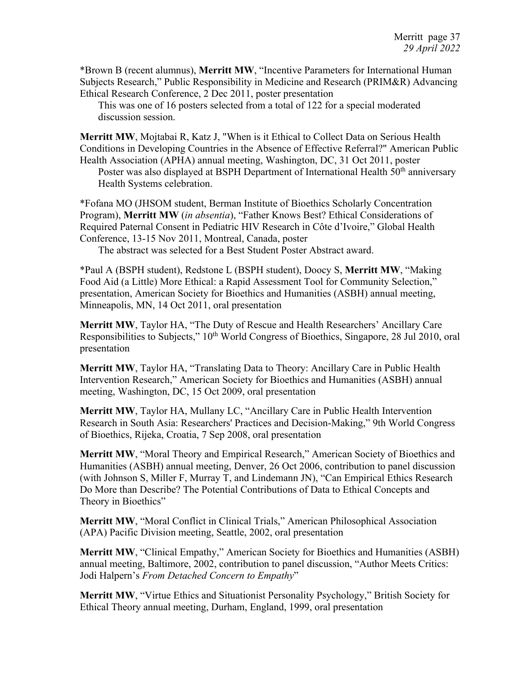\*Brown B (recent alumnus), **Merritt MW**, "Incentive Parameters for International Human Subjects Research," Public Responsibility in Medicine and Research (PRIM&R) Advancing Ethical Research Conference, 2 Dec 2011, poster presentation

This was one of 16 posters selected from a total of 122 for a special moderated discussion session.

**Merritt MW**, Mojtabai R, Katz J, "When is it Ethical to Collect Data on Serious Health Conditions in Developing Countries in the Absence of Effective Referral?" American Public Health Association (APHA) annual meeting, Washington, DC, 31 Oct 2011, poster

Poster was also displayed at BSPH Department of International Health 50<sup>th</sup> anniversary Health Systems celebration.

\*Fofana MO (JHSOM student, Berman Institute of Bioethics Scholarly Concentration Program), **Merritt MW** (*in absentia*), "Father Knows Best? Ethical Considerations of Required Paternal Consent in Pediatric HIV Research in Côte d'Ivoire," Global Health Conference, 13-15 Nov 2011, Montreal, Canada, poster

The abstract was selected for a Best Student Poster Abstract award.

\*Paul A (BSPH student), Redstone L (BSPH student), Doocy S, **Merritt MW**, "Making Food Aid (a Little) More Ethical: a Rapid Assessment Tool for Community Selection," presentation, American Society for Bioethics and Humanities (ASBH) annual meeting, Minneapolis, MN, 14 Oct 2011, oral presentation

**Merritt MW**, Taylor HA, "The Duty of Rescue and Health Researchers' Ancillary Care Responsibilities to Subjects," 10<sup>th</sup> World Congress of Bioethics, Singapore, 28 Jul 2010, oral presentation

**Merritt MW**, Taylor HA, "Translating Data to Theory: Ancillary Care in Public Health Intervention Research," American Society for Bioethics and Humanities (ASBH) annual meeting, Washington, DC, 15 Oct 2009, oral presentation

**Merritt MW**, Taylor HA, Mullany LC, "Ancillary Care in Public Health Intervention Research in South Asia: Researchers' Practices and Decision-Making," 9th World Congress of Bioethics, Rijeka, Croatia, 7 Sep 2008, oral presentation

**Merritt MW**, "Moral Theory and Empirical Research," American Society of Bioethics and Humanities (ASBH) annual meeting, Denver, 26 Oct 2006, contribution to panel discussion (with Johnson S, Miller F, Murray T, and Lindemann JN), "Can Empirical Ethics Research Do More than Describe? The Potential Contributions of Data to Ethical Concepts and Theory in Bioethics"

**Merritt MW**, "Moral Conflict in Clinical Trials," American Philosophical Association (APA) Pacific Division meeting, Seattle, 2002, oral presentation

**Merritt MW**, "Clinical Empathy," American Society for Bioethics and Humanities (ASBH) annual meeting, Baltimore, 2002, contribution to panel discussion, "Author Meets Critics: Jodi Halpern's *From Detached Concern to Empathy*"

**Merritt MW**, "Virtue Ethics and Situationist Personality Psychology," British Society for Ethical Theory annual meeting, Durham, England, 1999, oral presentation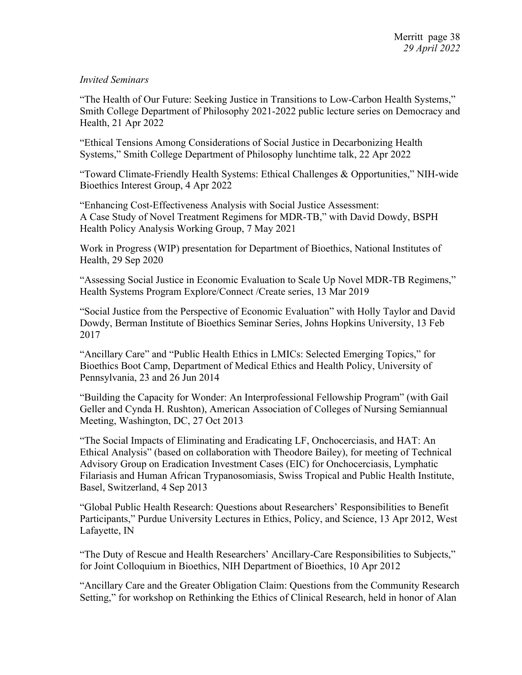# *Invited Seminars*

"The Health of Our Future: Seeking Justice in Transitions to Low-Carbon Health Systems," Smith College Department of Philosophy 2021-2022 public lecture series on Democracy and Health, 21 Apr 2022

"Ethical Tensions Among Considerations of Social Justice in Decarbonizing Health Systems," Smith College Department of Philosophy lunchtime talk, 22 Apr 2022

"Toward Climate-Friendly Health Systems: Ethical Challenges & Opportunities," NIH-wide Bioethics Interest Group, 4 Apr 2022

"Enhancing Cost-Effectiveness Analysis with Social Justice Assessment: A Case Study of Novel Treatment Regimens for MDR-TB," with David Dowdy, BSPH Health Policy Analysis Working Group, 7 May 2021

Work in Progress (WIP) presentation for Department of Bioethics, National Institutes of Health, 29 Sep 2020

"Assessing Social Justice in Economic Evaluation to Scale Up Novel MDR-TB Regimens," Health Systems Program Explore/Connect /Create series, 13 Mar 2019

"Social Justice from the Perspective of Economic Evaluation" with Holly Taylor and David Dowdy, Berman Institute of Bioethics Seminar Series, Johns Hopkins University, 13 Feb 2017

"Ancillary Care" and "Public Health Ethics in LMICs: Selected Emerging Topics," for Bioethics Boot Camp, Department of Medical Ethics and Health Policy, University of Pennsylvania, 23 and 26 Jun 2014

"Building the Capacity for Wonder: An Interprofessional Fellowship Program" (with Gail Geller and Cynda H. Rushton), American Association of Colleges of Nursing Semiannual Meeting, Washington, DC, 27 Oct 2013

"The Social Impacts of Eliminating and Eradicating LF, Onchocerciasis, and HAT: An Ethical Analysis" (based on collaboration with Theodore Bailey), for meeting of Technical Advisory Group on Eradication Investment Cases (EIC) for Onchocerciasis, Lymphatic Filariasis and Human African Trypanosomiasis, Swiss Tropical and Public Health Institute, Basel, Switzerland, 4 Sep 2013

"Global Public Health Research: Questions about Researchers' Responsibilities to Benefit Participants," Purdue University Lectures in Ethics, Policy, and Science, 13 Apr 2012, West Lafayette, IN

"The Duty of Rescue and Health Researchers' Ancillary-Care Responsibilities to Subjects," for Joint Colloquium in Bioethics, NIH Department of Bioethics, 10 Apr 2012

"Ancillary Care and the Greater Obligation Claim: Questions from the Community Research Setting," for workshop on Rethinking the Ethics of Clinical Research, held in honor of Alan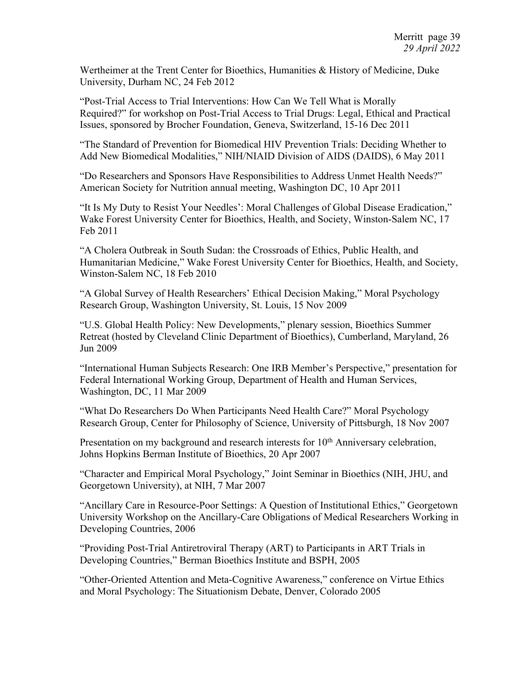Wertheimer at the Trent Center for Bioethics, Humanities & History of Medicine, Duke University, Durham NC, 24 Feb 2012

"Post-Trial Access to Trial Interventions: How Can We Tell What is Morally Required?" for workshop on Post-Trial Access to Trial Drugs: Legal, Ethical and Practical Issues, sponsored by Brocher Foundation, Geneva, Switzerland, 15-16 Dec 2011

"The Standard of Prevention for Biomedical HIV Prevention Trials: Deciding Whether to Add New Biomedical Modalities," NIH/NIAID Division of AIDS (DAIDS), 6 May 2011

"Do Researchers and Sponsors Have Responsibilities to Address Unmet Health Needs?" American Society for Nutrition annual meeting, Washington DC, 10 Apr 2011

"It Is My Duty to Resist Your Needles': Moral Challenges of Global Disease Eradication," Wake Forest University Center for Bioethics, Health, and Society, Winston-Salem NC, 17 Feb 2011

"A Cholera Outbreak in South Sudan: the Crossroads of Ethics, Public Health, and Humanitarian Medicine," Wake Forest University Center for Bioethics, Health, and Society, Winston-Salem NC, 18 Feb 2010

"A Global Survey of Health Researchers' Ethical Decision Making," Moral Psychology Research Group, Washington University, St. Louis, 15 Nov 2009

"U.S. Global Health Policy: New Developments," plenary session, Bioethics Summer Retreat (hosted by Cleveland Clinic Department of Bioethics), Cumberland, Maryland, 26 Jun 2009

"International Human Subjects Research: One IRB Member's Perspective," presentation for Federal International Working Group, Department of Health and Human Services, Washington, DC, 11 Mar 2009

"What Do Researchers Do When Participants Need Health Care?" Moral Psychology Research Group, Center for Philosophy of Science, University of Pittsburgh, 18 Nov 2007

Presentation on my background and research interests for 10<sup>th</sup> Anniversary celebration, Johns Hopkins Berman Institute of Bioethics, 20 Apr 2007

"Character and Empirical Moral Psychology," Joint Seminar in Bioethics (NIH, JHU, and Georgetown University), at NIH, 7 Mar 2007

"Ancillary Care in Resource-Poor Settings: A Question of Institutional Ethics," Georgetown University Workshop on the Ancillary-Care Obligations of Medical Researchers Working in Developing Countries, 2006

"Providing Post-Trial Antiretroviral Therapy (ART) to Participants in ART Trials in Developing Countries," Berman Bioethics Institute and BSPH, 2005

"Other-Oriented Attention and Meta-Cognitive Awareness," conference on Virtue Ethics and Moral Psychology: The Situationism Debate, Denver, Colorado 2005